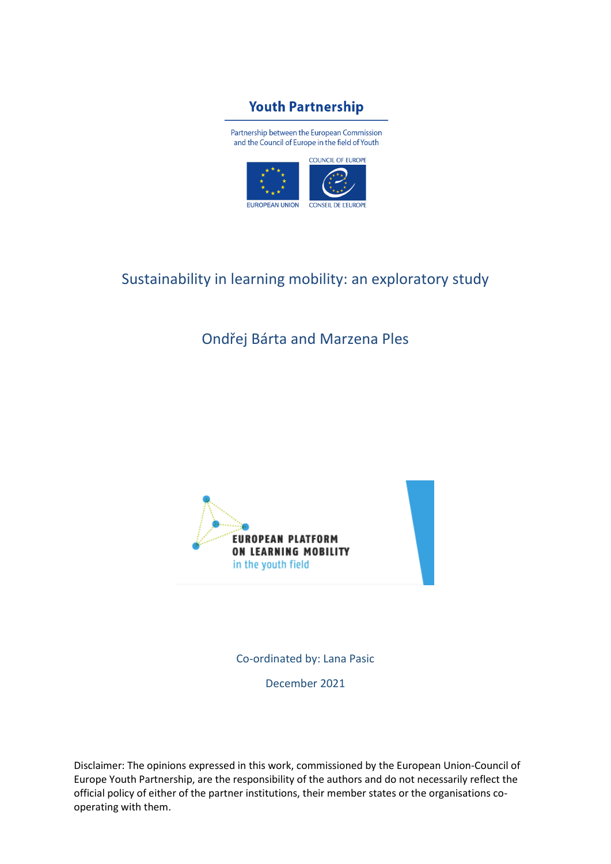

Partnership between the European Commission and the Council of Europe in the field of Youth



# Sustainability in learning mobility: an exploratory study

# Ondřej Bárta and Marzena Ples



Co-ordinated by: Lana Pasic December 2021

Disclaimer: The opinions expressed in this work, commissioned by the European Union-Council of Europe Youth Partnership, are the responsibility of the authors and do not necessarily reflect the official policy of either of the partner institutions, their member states or the organisations cooperating with them.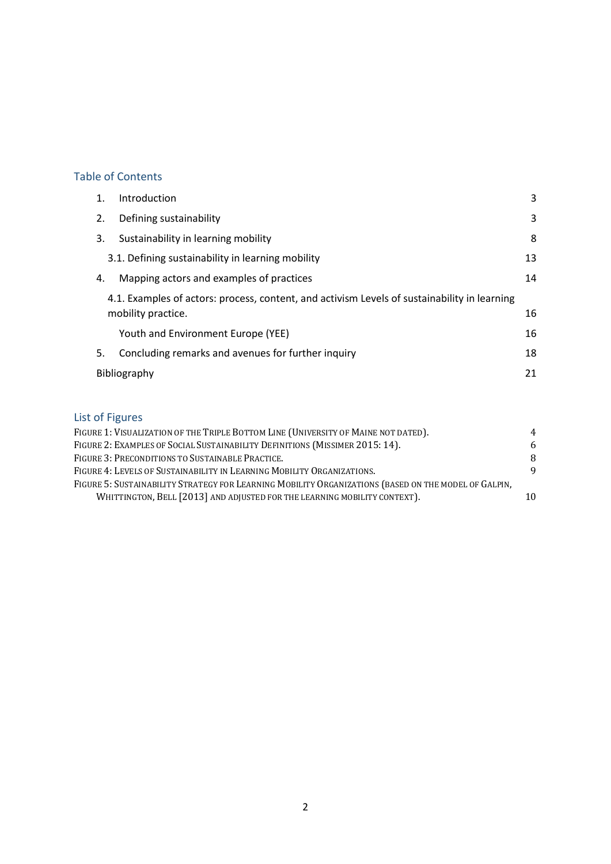# Table of Contents

| 1. | Introduction                                                                                                       | 3  |
|----|--------------------------------------------------------------------------------------------------------------------|----|
| 2. | Defining sustainability                                                                                            | 3  |
| 3. | Sustainability in learning mobility                                                                                | 8  |
|    | 3.1. Defining sustainability in learning mobility                                                                  | 13 |
| 4. | Mapping actors and examples of practices                                                                           | 14 |
|    | 4.1. Examples of actors: process, content, and activism Levels of sustainability in learning<br>mobility practice. |    |
|    | Youth and Environment Europe (YEE)                                                                                 | 16 |
| 5. | Concluding remarks and avenues for further inquiry                                                                 | 18 |
|    | Bibliography                                                                                                       | 21 |
|    |                                                                                                                    |    |

# List of Figures

| FIGURE 1: VISUALIZATION OF THE TRIPLE BOTTOM LINE (UNIVERSITY OF MAINE NOT DATED).                   |    |  |
|------------------------------------------------------------------------------------------------------|----|--|
| FIGURE 2: EXAMPLES OF SOCIAL SUSTAINABILITY DEFINITIONS (MISSIMER 2015: 14).                         |    |  |
| FIGURE 3: PRECONDITIONS TO SUSTAINABLE PRACTICE.                                                     |    |  |
| FIGURE 4: LEVELS OF SUSTAINABILITY IN LEARNING MOBILITY ORGANIZATIONS.                               |    |  |
| FIGURE 5: SUSTAINABILITY STRATEGY FOR LEARNING MOBILITY ORGANIZATIONS (BASED ON THE MODEL OF GALPIN, |    |  |
| WHITTINGTON, BELL [2013] AND ADJUSTED FOR THE LEARNING MOBILITY CONTEXT).                            | 10 |  |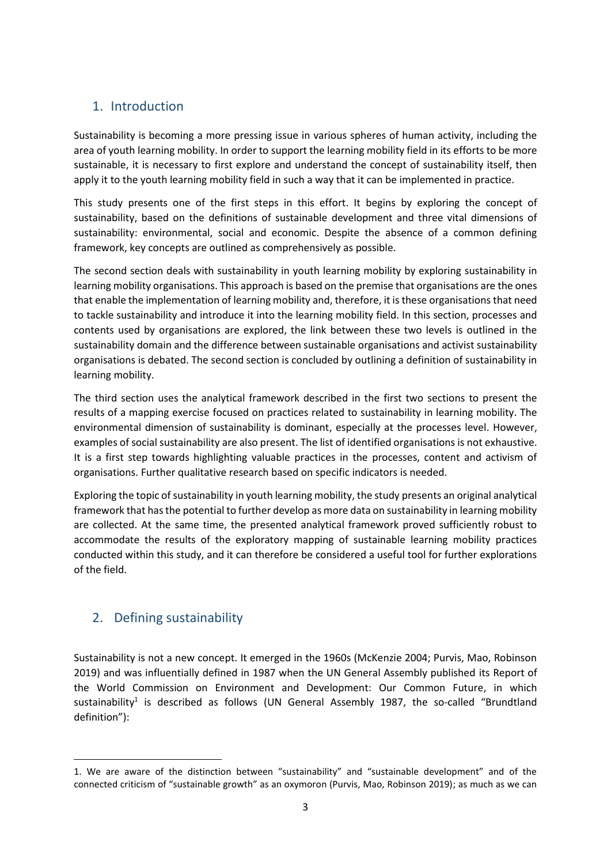# <span id="page-2-0"></span>1. Introduction

Sustainability is becoming a more pressing issue in various spheres of human activity, including the area of youth learning mobility. In order to support the learning mobility field in its efforts to be more sustainable, it is necessary to first explore and understand the concept of sustainability itself, then apply it to the youth learning mobility field in such a way that it can be implemented in practice.

This study presents one of the first steps in this effort. It begins by exploring the concept of sustainability, based on the definitions of sustainable development and three vital dimensions of sustainability: environmental, social and economic. Despite the absence of a common defining framework, key concepts are outlined as comprehensively as possible.

The second section deals with sustainability in youth learning mobility by exploring sustainability in learning mobility organisations. This approach is based on the premise that organisations are the ones that enable the implementation of learning mobility and, therefore, it is these organisations that need to tackle sustainability and introduce it into the learning mobility field. In this section, processes and contents used by organisations are explored, the link between these two levels is outlined in the sustainability domain and the difference between sustainable organisations and activist sustainability organisations is debated. The second section is concluded by outlining a definition of sustainability in learning mobility.

The third section uses the analytical framework described in the first two sections to present the results of a mapping exercise focused on practices related to sustainability in learning mobility. The environmental dimension of sustainability is dominant, especially at the processes level. However, examples of social sustainability are also present. The list of identified organisations is not exhaustive. It is a first step towards highlighting valuable practices in the processes, content and activism of organisations. Further qualitative research based on specific indicators is needed.

Exploring the topic of sustainability in youth learning mobility, the study presents an original analytical framework that has the potential to further develop as more data on sustainability in learning mobility are collected. At the same time, the presented analytical framework proved sufficiently robust to accommodate the results of the exploratory mapping of sustainable learning mobility practices conducted within this study, and it can therefore be considered a useful tool for further explorations of the field.

# <span id="page-2-1"></span>2. Defining sustainability

Sustainability is not a new concept. It emerged in the 1960s (McKenzie 2004; Purvis, Mao, Robinson 2019) and was influentially defined in 1987 when the UN General Assembly published its Report of the World Commission on Environment and Development: Our Common Future, in which sustainability<sup>1</sup> is described as follows (UN General Assembly 1987, the so-called "Brundtland definition"):

<sup>1.</sup> We are aware of the distinction between "sustainability" and "sustainable development" and of the connected criticism of "sustainable growth" as an oxymoron (Purvis, Mao, Robinson 2019); as much as we can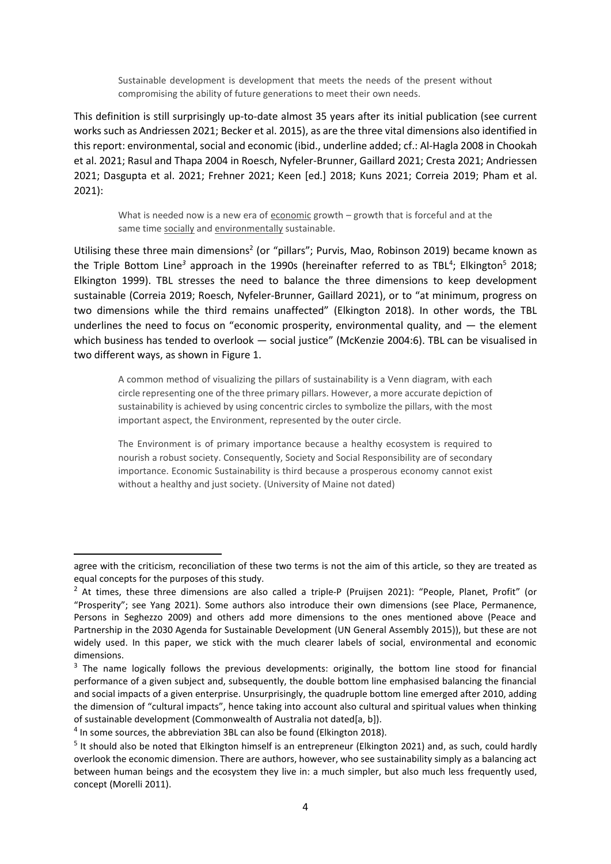Sustainable development is development that meets the needs of the present without compromising the ability of future generations to meet their own needs.

This definition is still surprisingly up-to-date almost 35 years after its initial publication (see current works such as Andriessen 2021; Becker et al. 2015), as are the three vital dimensions also identified in this report: environmental, social and economic (ibid., underline added; cf.: Al-Hagla 2008 in Chookah et al. 2021; Rasul and Thapa 2004 in Roesch, Nyfeler-Brunner, Gaillard 2021; Cresta 2021; Andriessen 2021; Dasgupta et al. 2021; Frehner 2021; Keen [ed.] 2018; Kuns 2021; Correia 2019; Pham et al. 2021):

What is needed now is a new era of economic growth – growth that is forceful and at the same time socially and environmentally sustainable.

Utilising these three main dimensions<sup>2</sup> (or "pillars"; Purvis, Mao, Robinson 2019) became known as the Triple Bottom Line<sup>3</sup> approach in the 1990s (hereinafter referred to as TBL<sup>4</sup>; Elkington<sup>5</sup> 2018; Elkington 1999). TBL stresses the need to balance the three dimensions to keep development sustainable (Correia 2019; Roesch, Nyfeler-Brunner, Gaillard 2021), or to "at minimum, progress on two dimensions while the third remains unaffected" (Elkington 2018). In other words, the TBL underlines the need to focus on "economic prosperity, environmental quality, and  $-$  the element which business has tended to overlook — social justice" (McKenzie 2004:6). TBL can be visualised in two different ways, as shown in Figure 1.

A common method of visualizing the pillars of sustainability is a Venn diagram, with each circle representing one of the three primary pillars. However, a more accurate depiction of sustainability is achieved by using concentric circles to symbolize the pillars, with the most important aspect, the Environment, represented by the outer circle.

The Environment is of primary importance because a healthy ecosystem is required to nourish a robust society. Consequently, Society and Social Responsibility are of secondary importance. Economic Sustainability is third because a prosperous economy cannot exist without a healthy and just society. (University of Maine not dated)

agree with the criticism, reconciliation of these two terms is not the aim of this article, so they are treated as equal concepts for the purposes of this study.

 $2$  At times, these three dimensions are also called a triple-P (Pruijsen 2021): "People, Planet, Profit" (or "Prosperity"; see Yang 2021). Some authors also introduce their own dimensions (see Place, Permanence, Persons in Seghezzo 2009) and others add more dimensions to the ones mentioned above (Peace and Partnership in the 2030 Agenda for Sustainable Development (UN General Assembly 2015)), but these are not widely used. In this paper, we stick with the much clearer labels of social, environmental and economic dimensions.

<sup>&</sup>lt;sup>3</sup> The name logically follows the previous developments: originally, the bottom line stood for financial performance of a given subject and, subsequently, the double bottom line emphasised balancing the financial and social impacts of a given enterprise. Unsurprisingly, the quadruple bottom line emerged after 2010, adding the dimension of "cultural impacts", hence taking into account also cultural and spiritual values when thinking of sustainable development (Commonwealth of Australia not dated[a, b]).

<sup>&</sup>lt;sup>4</sup> In some sources, the abbreviation 3BL can also be found (Elkington 2018).

<sup>&</sup>lt;sup>5</sup> It should also be noted that Elkington himself is an entrepreneur (Elkington 2021) and, as such, could hardly overlook the economic dimension. There are authors, however, who see sustainability simply as a balancing act between human beings and the ecosystem they live in: a much simpler, but also much less frequently used, concept (Morelli 2011).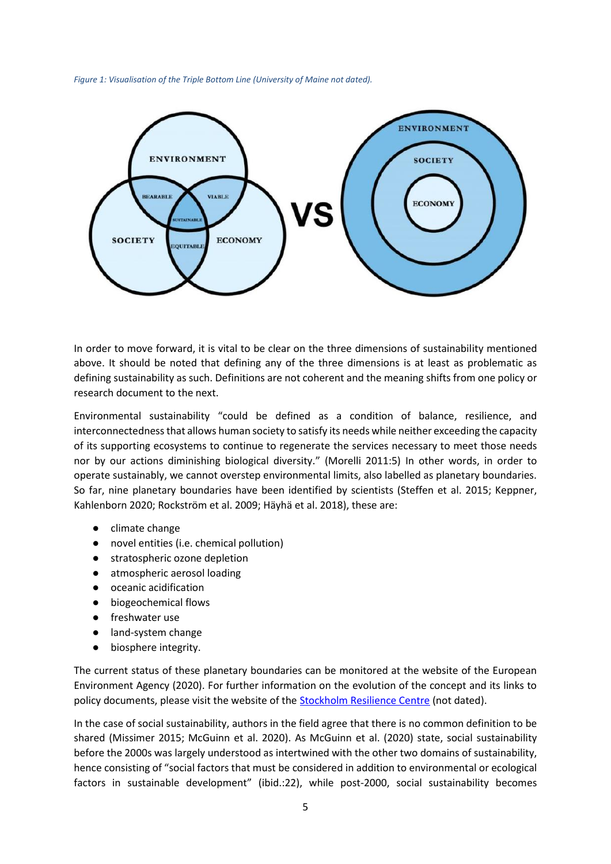<span id="page-4-0"></span>*Figure 1: Visualisation of the Triple Bottom Line (University of Maine not dated).*



In order to move forward, it is vital to be clear on the three dimensions of sustainability mentioned above. It should be noted that defining any of the three dimensions is at least as problematic as defining sustainability as such. Definitions are not coherent and the meaning shifts from one policy or research document to the next.

Environmental sustainability "could be defined as a condition of balance, resilience, and interconnectedness that allows human society to satisfy its needs while neither exceeding the capacity of its supporting ecosystems to continue to regenerate the services necessary to meet those needs nor by our actions diminishing biological diversity." (Morelli 2011:5) In other words, in order to operate sustainably, we cannot overstep environmental limits, also labelled as planetary boundaries. So far, nine planetary boundaries have been identified by scientists (Steffen et al. 2015; Keppner, Kahlenborn 2020; Rockström et al. 2009; Häyhä et al. 2018), these are:

- climate change
- novel entities (i.e. chemical pollution)
- stratospheric ozone depletion
- atmospheric aerosol loading
- oceanic acidification
- biogeochemical flows
- freshwater use
- land-system change
- biosphere integrity.

The current status of these planetary boundaries can be monitored at the website of the European Environment Agency (2020). For further information on the evolution of the concept and its links to policy documents, please visit the website of the **Stockholm Resilience Centre** (not dated).

In the case of social sustainability, authors in the field agree that there is no common definition to be shared (Missimer 2015; McGuinn et al. 2020). As McGuinn et al. (2020) state, social sustainability before the 2000s was largely understood as intertwined with the other two domains of sustainability, hence consisting of "social factors that must be considered in addition to environmental or ecological factors in sustainable development" (ibid.:22), while post-2000, social sustainability becomes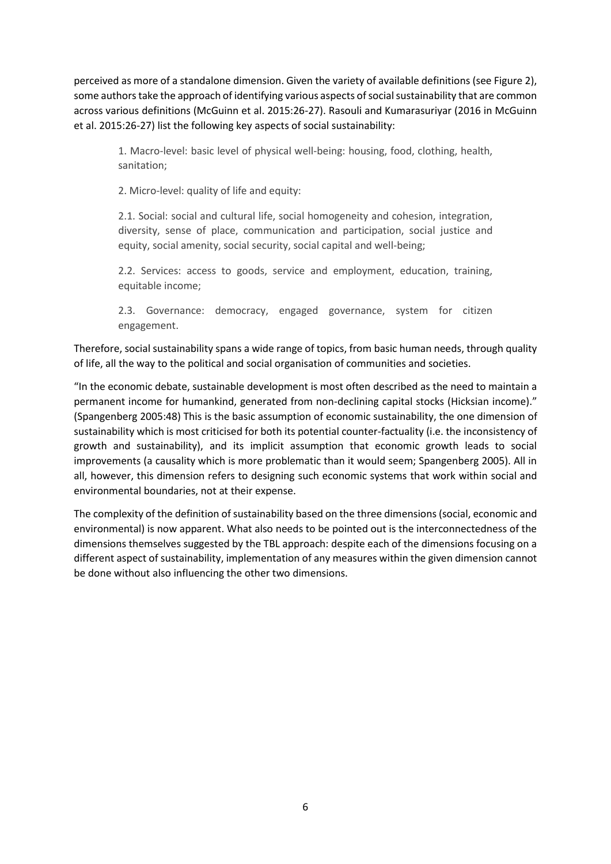perceived as more of a standalone dimension. Given the variety of available definitions (see Figure 2), some authors take the approach of identifying various aspects of social sustainability that are common across various definitions (McGuinn et al. 2015:26-27). Rasouli and Kumarasuriyar (2016 in McGuinn et al. 2015:26-27) list the following key aspects of social sustainability:

1. Macro-level: basic level of physical well-being: housing, food, clothing, health, sanitation;

2. Micro-level: quality of life and equity:

2.1. Social: social and cultural life, social homogeneity and cohesion, integration, diversity, sense of place, communication and participation, social justice and equity, social amenity, social security, social capital and well-being;

2.2. Services: access to goods, service and employment, education, training, equitable income;

2.3. Governance: democracy, engaged governance, system for citizen engagement.

Therefore, social sustainability spans a wide range of topics, from basic human needs, through quality of life, all the way to the political and social organisation of communities and societies.

"In the economic debate, sustainable development is most often described as the need to maintain a permanent income for humankind, generated from non-declining capital stocks (Hicksian income)." (Spangenberg 2005:48) This is the basic assumption of economic sustainability, the one dimension of sustainability which is most criticised for both its potential counter-factuality (i.e. the inconsistency of growth and sustainability), and its implicit assumption that economic growth leads to social improvements (a causality which is more problematic than it would seem; Spangenberg 2005). All in all, however, this dimension refers to designing such economic systems that work within social and environmental boundaries, not at their expense.

The complexity of the definition of sustainability based on the three dimensions (social, economic and environmental) is now apparent. What also needs to be pointed out is the interconnectedness of the dimensions themselves suggested by the TBL approach: despite each of the dimensions focusing on a different aspect of sustainability, implementation of any measures within the given dimension cannot be done without also influencing the other two dimensions.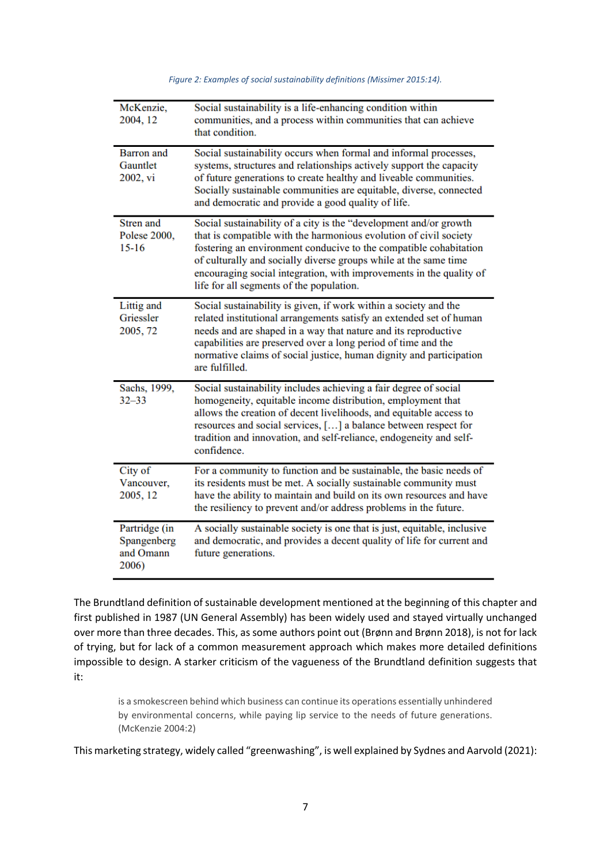<span id="page-6-0"></span>

| McKenzie,<br>2004, 12                              | Social sustainability is a life-enhancing condition within<br>communities, and a process within communities that can achieve<br>that condition.                                                                                                                                                                                                                                                    |
|----------------------------------------------------|----------------------------------------------------------------------------------------------------------------------------------------------------------------------------------------------------------------------------------------------------------------------------------------------------------------------------------------------------------------------------------------------------|
| <b>Barron</b> and<br>Gauntlet<br>2002, vi          | Social sustainability occurs when formal and informal processes,<br>systems, structures and relationships actively support the capacity<br>of future generations to create healthy and liveable communities.<br>Socially sustainable communities are equitable, diverse, connected<br>and democratic and provide a good quality of life.                                                           |
| Stren and<br>Polese 2000,<br>$15 - 16$             | Social sustainability of a city is the "development and/or growth<br>that is compatible with the harmonious evolution of civil society<br>fostering an environment conducive to the compatible cohabitation<br>of culturally and socially diverse groups while at the same time<br>encouraging social integration, with improvements in the quality of<br>life for all segments of the population. |
| Littig and<br>Griessler<br>2005, 72                | Social sustainability is given, if work within a society and the<br>related institutional arrangements satisfy an extended set of human<br>needs and are shaped in a way that nature and its reproductive<br>capabilities are preserved over a long period of time and the<br>normative claims of social justice, human dignity and participation<br>are fulfilled.                                |
| Sachs, 1999,<br>$32 - 33$                          | Social sustainability includes achieving a fair degree of social<br>homogeneity, equitable income distribution, employment that<br>allows the creation of decent livelihoods, and equitable access to<br>resources and social services, [] a balance between respect for<br>tradition and innovation, and self-reliance, endogeneity and self-<br>confidence.                                      |
| City of<br>Vancouver,<br>2005, 12                  | For a community to function and be sustainable, the basic needs of<br>its residents must be met. A socially sustainable community must<br>have the ability to maintain and build on its own resources and have<br>the resiliency to prevent and/or address problems in the future.                                                                                                                 |
| Partridge (in<br>Spangenberg<br>and Omann<br>2006) | A socially sustainable society is one that is just, equitable, inclusive<br>and democratic, and provides a decent quality of life for current and<br>future generations.                                                                                                                                                                                                                           |

*Figure 2: Examples of social sustainability definitions (Missimer 2015:14).*

The Brundtland definition of sustainable development mentioned at the beginning of this chapter and first published in 1987 (UN General Assembly) has been widely used and stayed virtually unchanged over more than three decades. This, as some authors point out (Brønn and Brønn 2018), is not for lack of trying, but for lack of a common measurement approach which makes more detailed definitions impossible to design. A starker criticism of the vagueness of the Brundtland definition suggests that it:

is a smokescreen behind which business can continue its operations essentially unhindered by environmental concerns, while paying lip service to the needs of future generations. (McKenzie 2004:2)

This marketing strategy, widely called "greenwashing", is well explained by Sydnes and Aarvold (2021):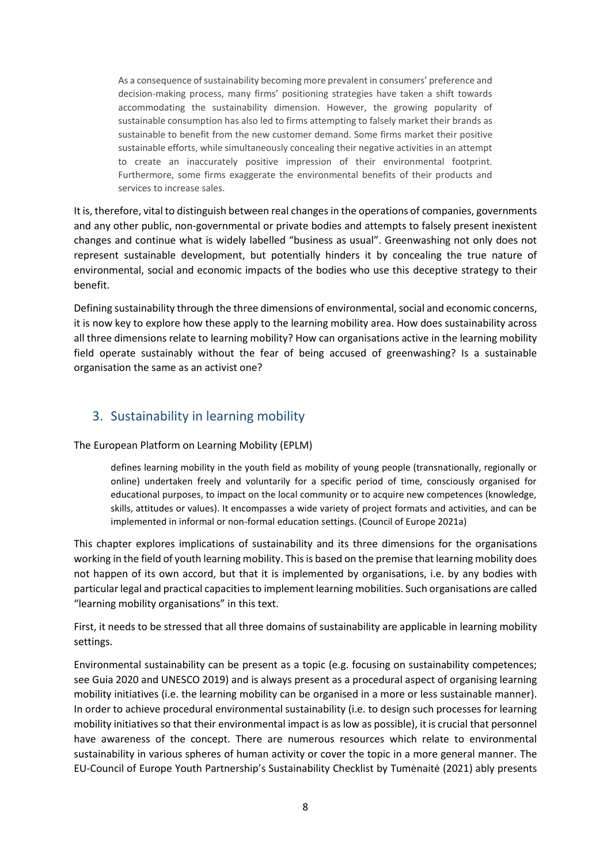As a consequence of sustainability becoming more prevalent in consumers' preference and decision-making process, many firms' positioning strategies have taken a shift towards accommodating the sustainability dimension. However, the growing popularity of sustainable consumption has also led to firms attempting to falsely market their brands as sustainable to benefit from the new customer demand. Some firms market their positive sustainable efforts, while simultaneously concealing their negative activities in an attempt to create an inaccurately positive impression of their environmental footprint. Furthermore, some firms exaggerate the environmental benefits of their products and services to increase sales.

It is, therefore, vital to distinguish between real changes in the operations of companies, governments and any other public, non-governmental or private bodies and attempts to falsely present inexistent changes and continue what is widely labelled "business as usual". Greenwashing not only does not represent sustainable development, but potentially hinders it by concealing the true nature of environmental, social and economic impacts of the bodies who use this deceptive strategy to their benefit.

Defining sustainability through the three dimensions of environmental, social and economic concerns, it is now key to explore how these apply to the learning mobility area. How does sustainability across all three dimensions relate to learning mobility? How can organisations active in the learning mobility field operate sustainably without the fear of being accused of greenwashing? Is a sustainable organisation the same as an activist one?

# <span id="page-7-0"></span>3. Sustainability in learning mobility

The European Platform on Learning Mobility (EPLM)

defines learning mobility in the youth field as mobility of young people (transnationally, regionally or online) undertaken freely and voluntarily for a specific period of time, consciously organised for educational purposes, to impact on the local community or to acquire new competences (knowledge, skills, attitudes or values). It encompasses a wide variety of project formats and activities, and can be implemented in informal or non-formal education settings. (Council of Europe 2021a)

This chapter explores implications of sustainability and its three dimensions for the organisations working in the field of youth learning mobility. This is based on the premise that learning mobility does not happen of its own accord, but that it is implemented by organisations, i.e. by any bodies with particular legal and practical capacities to implement learning mobilities. Such organisations are called "learning mobility organisations" in this text.

First, it needs to be stressed that all three domains of sustainability are applicable in learning mobility settings.

Environmental sustainability can be present as a topic (e.g. focusing on sustainability competences; see Guia 2020 and UNESCO 2019) and is always present as a procedural aspect of organising learning mobility initiatives (i.e. the learning mobility can be organised in a more or less sustainable manner). In order to achieve procedural environmental sustainability (i.e. to design such processes for learning mobility initiatives so that their environmental impact is as low as possible), it is crucial that personnel have awareness of the concept. There are numerous resources which relate to environmental sustainability in various spheres of human activity or cover the topic in a more general manner. The EU-Council of Europe Youth Partnership's Sustainability Checklist by Tumėnaitė (2021) ably presents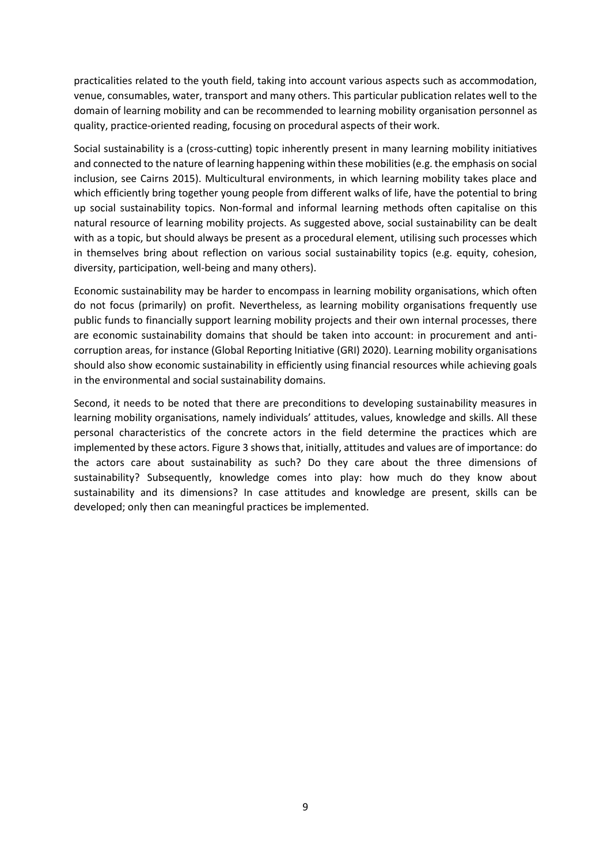practicalities related to the youth field, taking into account various aspects such as accommodation, venue, consumables, water, transport and many others. This particular publication relates well to the domain of learning mobility and can be recommended to learning mobility organisation personnel as quality, practice-oriented reading, focusing on procedural aspects of their work.

Social sustainability is a (cross-cutting) topic inherently present in many learning mobility initiatives and connected to the nature of learning happening within these mobilities (e.g. the emphasis on social inclusion, see Cairns 2015). Multicultural environments, in which learning mobility takes place and which efficiently bring together young people from different walks of life, have the potential to bring up social sustainability topics. Non-formal and informal learning methods often capitalise on this natural resource of learning mobility projects. As suggested above, social sustainability can be dealt with as a topic, but should always be present as a procedural element, utilising such processes which in themselves bring about reflection on various social sustainability topics (e.g. equity, cohesion, diversity, participation, well-being and many others).

Economic sustainability may be harder to encompass in learning mobility organisations, which often do not focus (primarily) on profit. Nevertheless, as learning mobility organisations frequently use public funds to financially support learning mobility projects and their own internal processes, there are economic sustainability domains that should be taken into account: in procurement and anticorruption areas, for instance (Global Reporting Initiative (GRI) 2020). Learning mobility organisations should also show economic sustainability in efficiently using financial resources while achieving goals in the environmental and social sustainability domains.

Second, it needs to be noted that there are preconditions to developing sustainability measures in learning mobility organisations, namely individuals' attitudes, values, knowledge and skills. All these personal characteristics of the concrete actors in the field determine the practices which are implemented by these actors. Figure 3 shows that, initially, attitudes and values are of importance: do the actors care about sustainability as such? Do they care about the three dimensions of sustainability? Subsequently, knowledge comes into play: how much do they know about sustainability and its dimensions? In case attitudes and knowledge are present, skills can be developed; only then can meaningful practices be implemented.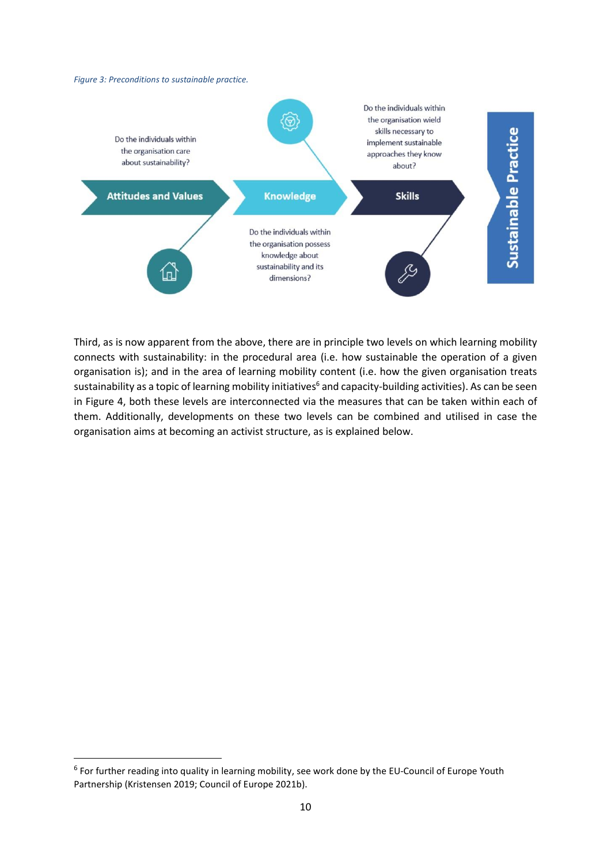#### <span id="page-9-0"></span>*Figure 3: Preconditions to sustainable practice.*



Third, as is now apparent from the above, there are in principle two levels on which learning mobility connects with sustainability: in the procedural area (i.e. how sustainable the operation of a given organisation is); and in the area of learning mobility content (i.e. how the given organisation treats sustainability as a topic of learning mobility initiatives<sup>6</sup> and capacity-building activities). As can be seen in Figure 4, both these levels are interconnected via the measures that can be taken within each of them. Additionally, developments on these two levels can be combined and utilised in case the organisation aims at becoming an activist structure, as is explained below.

<sup>&</sup>lt;sup>6</sup> For further reading into quality in learning mobility, see work done by the EU-Council of Europe Youth Partnership (Kristensen 2019; Council of Europe 2021b).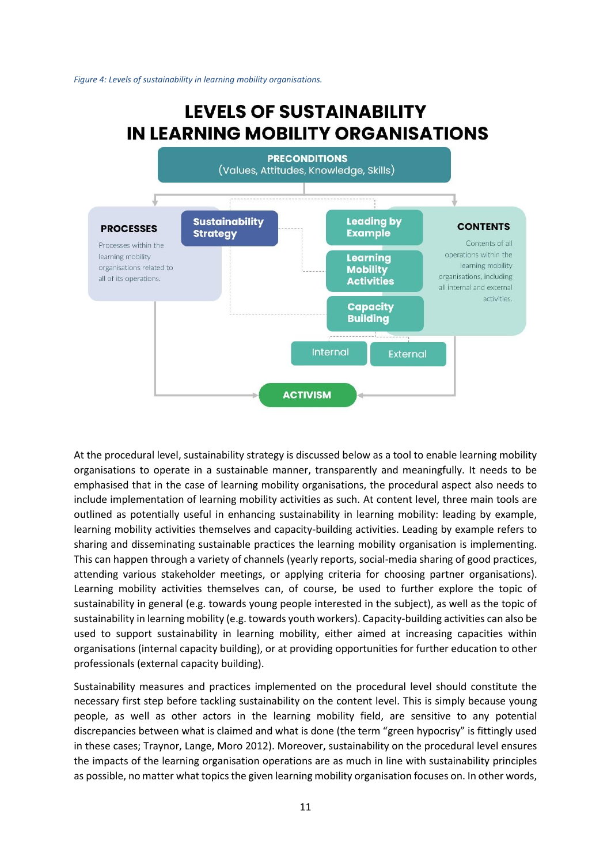#### <span id="page-10-0"></span>*Figure 4: Levels of sustainability in learning mobility organisations.*

#### **LEVELS OF SUSTAINABILITY** IN LEARNING MOBILITY ORGANISATIONS **PRECONDITIONS** (Values, Attitudes, Knowledge, Skills) **Sustainability Leading by CONTENTS PROCESSES Example Strategy** Contents of all Processes within the operations within the learning mobility Learning learning mobility organisations related to **Mobility** organisations, including all of its operations. **Activities** all internal and external activities. **Capacity Building** Internal **External ACTIVISM**

At the procedural level, sustainability strategy is discussed below as a tool to enable learning mobility organisations to operate in a sustainable manner, transparently and meaningfully. It needs to be emphasised that in the case of learning mobility organisations, the procedural aspect also needs to include implementation of learning mobility activities as such. At content level, three main tools are outlined as potentially useful in enhancing sustainability in learning mobility: leading by example, learning mobility activities themselves and capacity-building activities. Leading by example refers to sharing and disseminating sustainable practices the learning mobility organisation is implementing. This can happen through a variety of channels (yearly reports, social-media sharing of good practices, attending various stakeholder meetings, or applying criteria for choosing partner organisations). Learning mobility activities themselves can, of course, be used to further explore the topic of sustainability in general (e.g. towards young people interested in the subject), as well as the topic of sustainability in learning mobility (e.g. towards youth workers). Capacity-building activities can also be used to support sustainability in learning mobility, either aimed at increasing capacities within organisations (internal capacity building), or at providing opportunities for further education to other professionals (external capacity building).

Sustainability measures and practices implemented on the procedural level should constitute the necessary first step before tackling sustainability on the content level. This is simply because young people, as well as other actors in the learning mobility field, are sensitive to any potential discrepancies between what is claimed and what is done (the term "green hypocrisy" is fittingly used in these cases; Traynor, Lange, Moro 2012). Moreover, sustainability on the procedural level ensures the impacts of the learning organisation operations are as much in line with sustainability principles as possible, no matter what topics the given learning mobility organisation focuses on. In other words,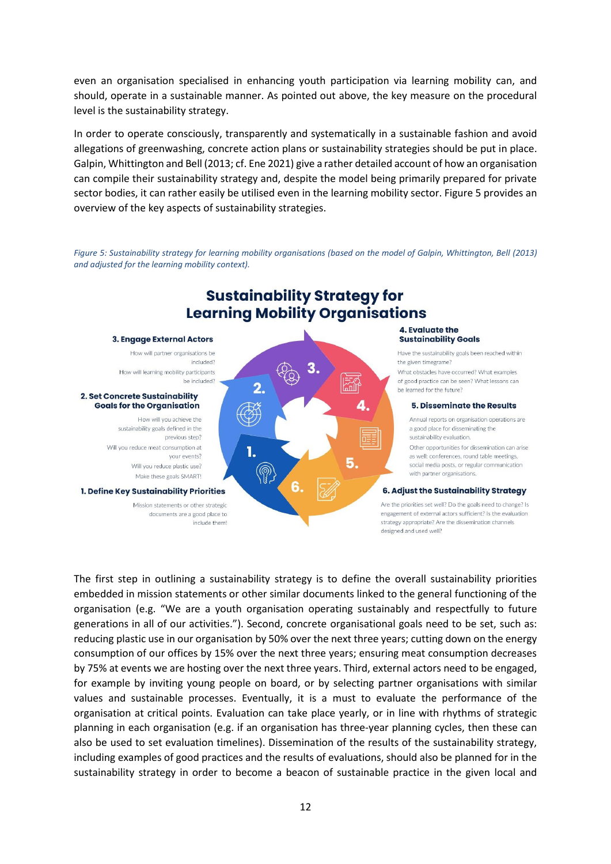even an organisation specialised in enhancing youth participation via learning mobility can, and should, operate in a sustainable manner. As pointed out above, the key measure on the procedural level is the sustainability strategy.

In order to operate consciously, transparently and systematically in a sustainable fashion and avoid allegations of greenwashing, concrete action plans or sustainability strategies should be put in place. Galpin, Whittington and Bell (2013; cf. Ene 2021) give a rather detailed account of how an organisation can compile their sustainability strategy and, despite the model being primarily prepared for private sector bodies, it can rather easily be utilised even in the learning mobility sector. Figure 5 provides an overview of the key aspects of sustainability strategies.

<span id="page-11-0"></span>*Figure 5: Sustainability strategy for learning mobility organisations (based on the model of Galpin, Whittington, Bell (2013) and adjusted for the learning mobility context).* 



include them!

# **Sustainability Strategy for**

Annual reports on organisation operations are a good place for disseminating the

Other opportunities for dissemination can arise as well: conferences, round table meetings, social media posts, or regular communication with partner organisations.

#### **6. Adiust the Sustainability Strateav**

Are the priorities set well? Do the goals need to change? Is engagement of external actors sufficient? Is the evaluation strategy appropriate? Are the dissemination channels designed and used well?

The first step in outlining a sustainability strategy is to define the overall sustainability priorities embedded in mission statements or other similar documents linked to the general functioning of the organisation (e.g. "We are a youth organisation operating sustainably and respectfully to future generations in all of our activities."). Second, concrete organisational goals need to be set, such as: reducing plastic use in our organisation by 50% over the next three years; cutting down on the energy consumption of our offices by 15% over the next three years; ensuring meat consumption decreases by 75% at events we are hosting over the next three years. Third, external actors need to be engaged, for example by inviting young people on board, or by selecting partner organisations with similar values and sustainable processes. Eventually, it is a must to evaluate the performance of the organisation at critical points. Evaluation can take place yearly, or in line with rhythms of strategic planning in each organisation (e.g. if an organisation has three-year planning cycles, then these can also be used to set evaluation timelines). Dissemination of the results of the sustainability strategy, including examples of good practices and the results of evaluations, should also be planned for in the sustainability strategy in order to become a beacon of sustainable practice in the given local and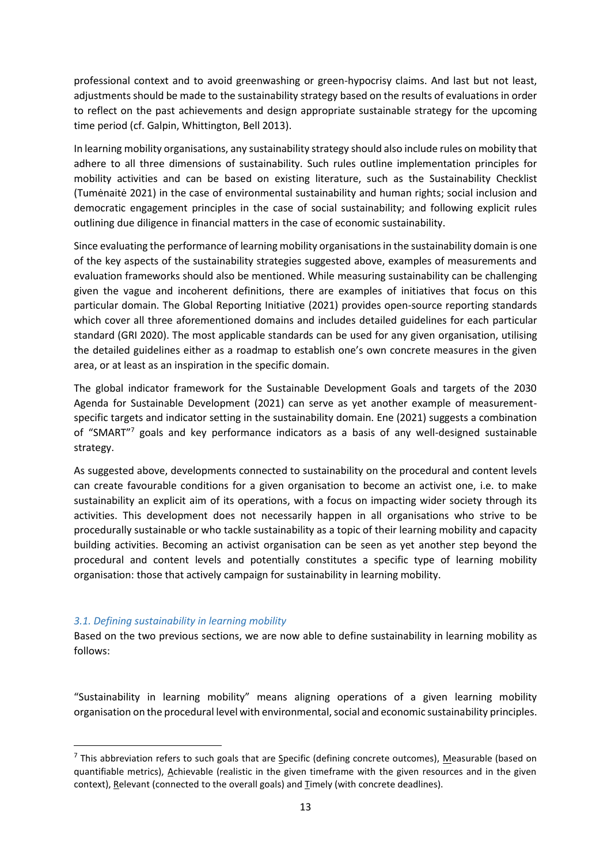professional context and to avoid greenwashing or green-hypocrisy claims. And last but not least, adjustments should be made to the sustainability strategy based on the results of evaluations in order to reflect on the past achievements and design appropriate sustainable strategy for the upcoming time period (cf. Galpin, Whittington, Bell 2013).

In learning mobility organisations, any sustainability strategy should also include rules on mobility that adhere to all three dimensions of sustainability. Such rules outline implementation principles for mobility activities and can be based on existing literature, such as the Sustainability Checklist (Tumėnaitė 2021) in the case of environmental sustainability and human rights; social inclusion and democratic engagement principles in the case of social sustainability; and following explicit rules outlining due diligence in financial matters in the case of economic sustainability.

Since evaluating the performance of learning mobility organisations in the sustainability domain is one of the key aspects of the sustainability strategies suggested above, examples of measurements and evaluation frameworks should also be mentioned. While measuring sustainability can be challenging given the vague and incoherent definitions, there are examples of initiatives that focus on this particular domain. The Global Reporting Initiative (2021) provides open-source reporting standards which cover all three aforementioned domains and includes detailed guidelines for each particular standard (GRI 2020). The most applicable standards can be used for any given organisation, utilising the detailed guidelines either as a roadmap to establish one's own concrete measures in the given area, or at least as an inspiration in the specific domain.

The global indicator framework for the Sustainable Development Goals and targets of the 2030 Agenda for Sustainable Development (2021) can serve as yet another example of measurementspecific targets and indicator setting in the sustainability domain. Ene (2021) suggests a combination of "SMART"<sup>7</sup> goals and key performance indicators as a basis of any well-designed sustainable strategy.

As suggested above, developments connected to sustainability on the procedural and content levels can create favourable conditions for a given organisation to become an activist one, i.e. to make sustainability an explicit aim of its operations, with a focus on impacting wider society through its activities. This development does not necessarily happen in all organisations who strive to be procedurally sustainable or who tackle sustainability as a topic of their learning mobility and capacity building activities. Becoming an activist organisation can be seen as yet another step beyond the procedural and content levels and potentially constitutes a specific type of learning mobility organisation: those that actively campaign for sustainability in learning mobility.

# <span id="page-12-0"></span>*3.1. Defining sustainability in learning mobility*

Based on the two previous sections, we are now able to define sustainability in learning mobility as follows:

"Sustainability in learning mobility" means aligning operations of a given learning mobility organisation on the procedural level with environmental, social and economic sustainability principles.

<sup>&</sup>lt;sup>7</sup> This abbreviation refers to such goals that are Specific (defining concrete outcomes), Measurable (based on quantifiable metrics), Achievable (realistic in the given timeframe with the given resources and in the given context), Relevant (connected to the overall goals) and Timely (with concrete deadlines).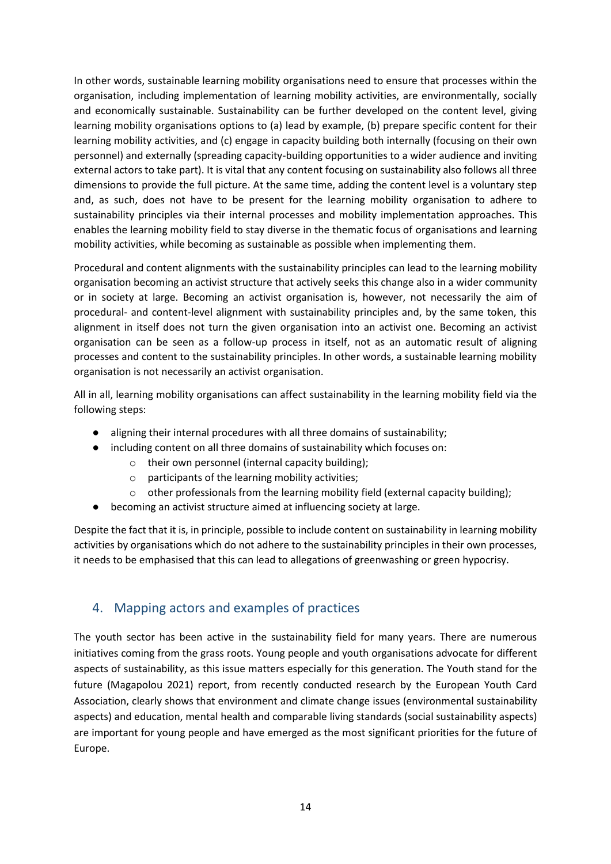In other words, sustainable learning mobility organisations need to ensure that processes within the organisation, including implementation of learning mobility activities, are environmentally, socially and economically sustainable. Sustainability can be further developed on the content level, giving learning mobility organisations options to (a) lead by example, (b) prepare specific content for their learning mobility activities, and (c) engage in capacity building both internally (focusing on their own personnel) and externally (spreading capacity-building opportunities to a wider audience and inviting external actors to take part). It is vital that any content focusing on sustainability also follows all three dimensions to provide the full picture. At the same time, adding the content level is a voluntary step and, as such, does not have to be present for the learning mobility organisation to adhere to sustainability principles via their internal processes and mobility implementation approaches. This enables the learning mobility field to stay diverse in the thematic focus of organisations and learning mobility activities, while becoming as sustainable as possible when implementing them.

Procedural and content alignments with the sustainability principles can lead to the learning mobility organisation becoming an activist structure that actively seeks this change also in a wider community or in society at large. Becoming an activist organisation is, however, not necessarily the aim of procedural- and content-level alignment with sustainability principles and, by the same token, this alignment in itself does not turn the given organisation into an activist one. Becoming an activist organisation can be seen as a follow-up process in itself, not as an automatic result of aligning processes and content to the sustainability principles. In other words, a sustainable learning mobility organisation is not necessarily an activist organisation.

All in all, learning mobility organisations can affect sustainability in the learning mobility field via the following steps:

- aligning their internal procedures with all three domains of sustainability;
- including content on all three domains of sustainability which focuses on:
	- o their own personnel (internal capacity building);
	- $\circ$  participants of the learning mobility activities;
	- o other professionals from the learning mobility field (external capacity building);
- becoming an activist structure aimed at influencing society at large.

Despite the fact that it is, in principle, possible to include content on sustainability in learning mobility activities by organisations which do not adhere to the sustainability principles in their own processes, it needs to be emphasised that this can lead to allegations of greenwashing or green hypocrisy.

# <span id="page-13-0"></span>4. Mapping actors and examples of practices

The youth sector has been active in the sustainability field for many years. There are numerous initiatives coming from the grass roots. Young people and youth organisations advocate for different aspects of sustainability, as this issue matters especially for this generation. The Youth stand for the future (Magapolou 2021) report, from recently conducted research by the European Youth Card Association, clearly shows that environment and climate change issues (environmental sustainability aspects) and education, mental health and comparable living standards (social sustainability aspects) are important for young people and have emerged as the most significant priorities for the future of Europe.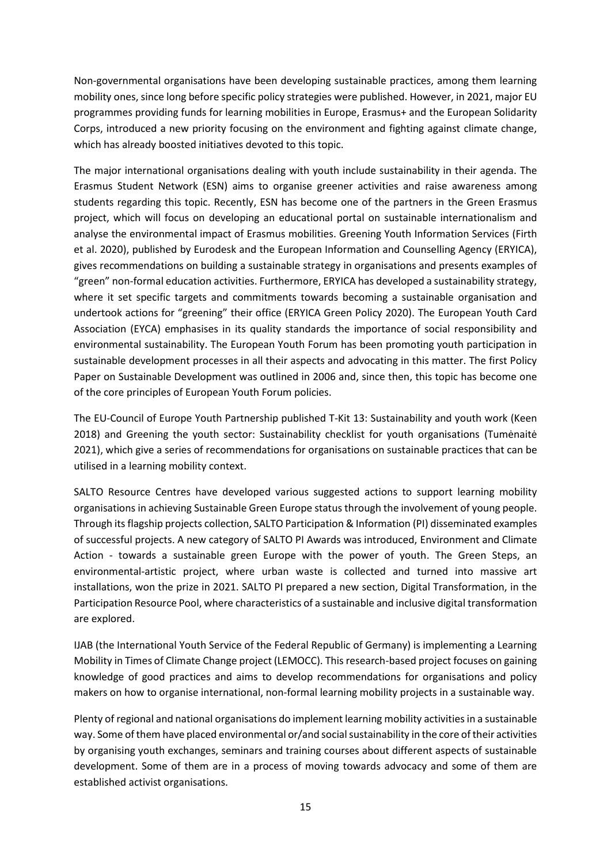Non-governmental organisations have been developing sustainable practices, among them learning mobility ones, since long before specific policy strategies were published. However, in 2021, major EU programmes providing funds for learning mobilities in Europe, Erasmus+ and the European Solidarity Corps, introduced a new priority focusing on the environment and fighting against climate change, which has already boosted initiatives devoted to this topic.

The major international organisations dealing with youth include sustainability in their agenda. The Erasmus Student Network (ESN) aims to organise greener activities and raise awareness among students regarding this topic. Recently, ESN has become one of the partners in the Green Erasmus project, which will focus on developing an educational portal on sustainable internationalism and analyse the environmental impact of Erasmus mobilities. Greening Youth Information Services (Firth et al. 2020), published by Eurodesk and the European Information and Counselling Agency (ERYICA), gives recommendations on building a sustainable strategy in organisations and presents examples of "green" non-formal education activities. Furthermore, ERYICA has developed a sustainability strategy, where it set specific targets and commitments towards becoming a sustainable organisation and undertook actions for "greening" their office (ERYICA Green Policy 2020). The European Youth Card Association (EYCA) emphasises in its quality standards the importance of social responsibility and environmental sustainability. The European Youth Forum has been promoting youth participation in sustainable development processes in all their aspects and advocating in this matter. The first Policy Paper on Sustainable Development was outlined in 2006 and, since then, this topic has become one of the core principles of European Youth Forum policies.

The EU-Council of Europe Youth Partnership published T-Kit 13: Sustainability and youth work (Keen 2018) and Greening the youth sector: Sustainability checklist for youth organisations (Tumėnaitė 2021), which give a series of recommendations for organisations on sustainable practices that can be utilised in a learning mobility context.

SALTO Resource Centres have developed various suggested actions to support learning mobility organisations in achieving Sustainable Green Europe status through the involvement of young people. Through its flagship projects collection, SALTO Participation & Information (PI) disseminated examples of successful projects. A new category of SALTO PI Awards was introduced, Environment and Climate Action - towards a sustainable green Europe with the power of youth. The Green Steps, an environmental-artistic project, where urban waste is collected and turned into massive art installations, won the prize in 2021. SALTO PI prepared a new section, Digital Transformation, in the Participation Resource Pool, where characteristics of a sustainable and inclusive digital transformation are explored.

IJAB (the International Youth Service of the Federal Republic of Germany) is implementing a Learning Mobility in Times of Climate Change project (LEMOCC). This research-based project focuses on gaining knowledge of good practices and aims to develop recommendations for organisations and policy makers on how to organise international, non-formal learning mobility projects in a sustainable way.

Plenty of regional and national organisations do implement learning mobility activities in a sustainable way. Some of them have placed environmental or/and social sustainability in the core of their activities by organising youth exchanges, seminars and training courses about different aspects of sustainable development. Some of them are in a process of moving towards advocacy and some of them are established activist organisations.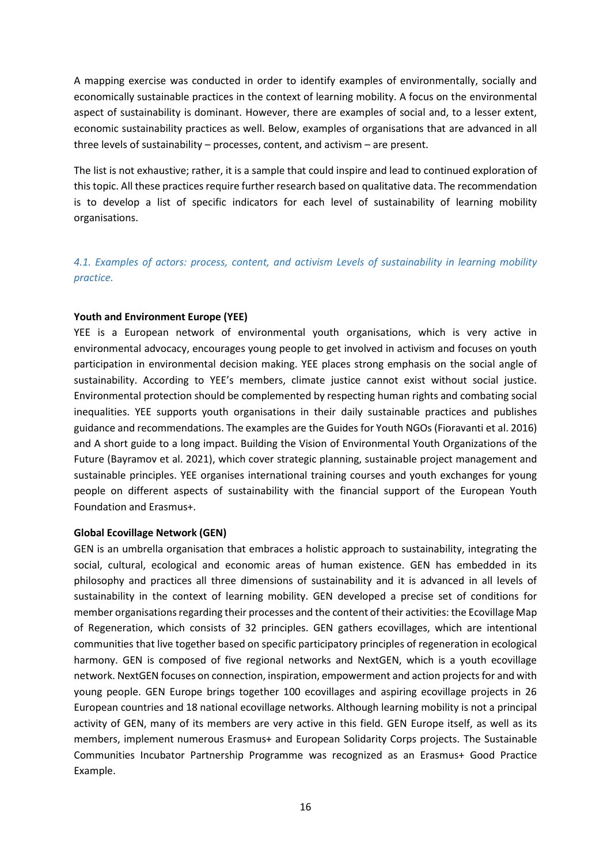A mapping exercise was conducted in order to identify examples of environmentally, socially and economically sustainable practices in the context of learning mobility. A focus on the environmental aspect of sustainability is dominant. However, there are examples of social and, to a lesser extent, economic sustainability practices as well. Below, examples of organisations that are advanced in all three levels of sustainability – processes, content, and activism – are present.

The list is not exhaustive; rather, it is a sample that could inspire and lead to continued exploration of this topic. All these practices require further research based on qualitative data. The recommendation is to develop a list of specific indicators for each level of sustainability of learning mobility organisations.

<span id="page-15-0"></span>*4.1. Examples of actors: process, content, and activism Levels of sustainability in learning mobility practice.*

# <span id="page-15-1"></span>**Youth and Environment Europe (YEE)**

YEE is a European network of environmental youth organisations, which is very active in environmental advocacy, encourages young people to get involved in activism and focuses on youth participation in environmental decision making. YEE places strong emphasis on the social angle of sustainability. According to YEE's members, climate justice cannot exist without social justice. Environmental protection should be complemented by respecting human rights and combating social inequalities. YEE supports youth organisations in their daily sustainable practices and publishes guidance and recommendations. The examples are the Guides for Youth NGOs (Fioravanti et al. 2016) and A short guide to a long impact. Building the Vision of Environmental Youth Organizations of the Future (Bayramov et al. 2021), which cover strategic planning, sustainable project management and sustainable principles. YEE organises international training courses and youth exchanges for young people on different aspects of sustainability with the financial support of the European Youth Foundation and Erasmus+.

# **Global Ecovillage Network (GEN)**

GEN is an umbrella organisation that embraces a holistic approach to sustainability, integrating the social, cultural, ecological and economic areas of human existence. GEN has embedded in its philosophy and practices all three dimensions of sustainability and it is advanced in all levels of sustainability in the context of learning mobility. GEN developed a precise set of conditions for member organisations regarding their processes and the content of their activities: the Ecovillage Map of Regeneration, which consists of 32 principles. GEN gathers ecovillages, which are intentional communities that live together based on specific participatory principles of regeneration in ecological harmony. GEN is composed of five regional networks and NextGEN, which is a youth ecovillage network. NextGEN focuses on connection, inspiration, empowerment and action projects for and with young people. GEN Europe brings together 100 ecovillages and aspiring ecovillage projects in 26 European countries and 18 national ecovillage networks. Although learning mobility is not a principal activity of GEN, many of its members are very active in this field. GEN Europe itself, as well as its members, implement numerous Erasmus+ and European Solidarity Corps projects. The Sustainable Communities Incubator Partnership Programme was recognized as an Erasmus+ Good Practice Example.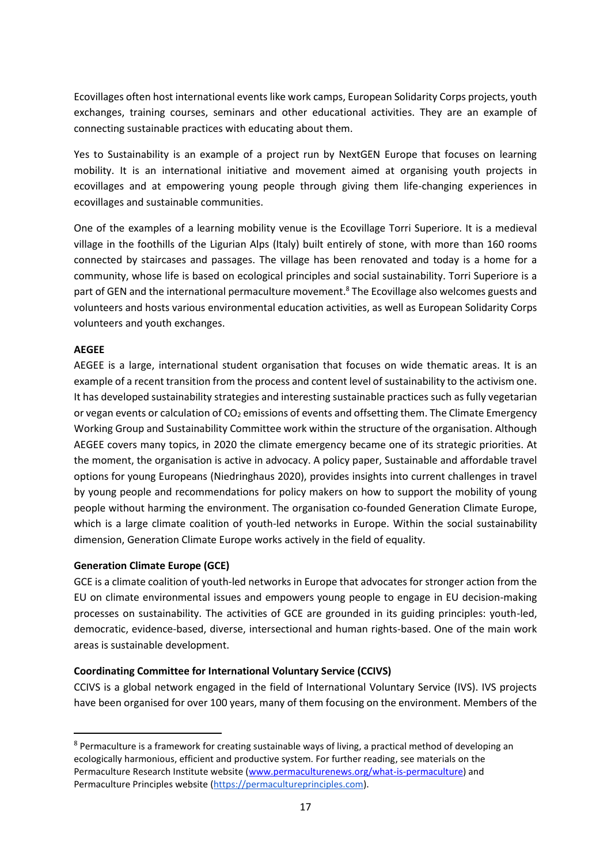Ecovillages often host international events like work camps, European Solidarity Corps projects, youth exchanges, training courses, seminars and other educational activities. They are an example of connecting sustainable practices with educating about them.

Yes to Sustainability is an example of a project run by NextGEN Europe that focuses on learning mobility. It is an international initiative and movement aimed at organising youth projects in ecovillages and at empowering young people through giving them life-changing experiences in ecovillages and sustainable communities.

One of the examples of a learning mobility venue is the Ecovillage Torri Superiore. It is a medieval village in the foothills of the Ligurian Alps (Italy) built entirely of stone, with more than 160 rooms connected by staircases and passages. The village has been renovated and today is a home for a community, whose life is based on ecological principles and social sustainability. Torri Superiore is a part of GEN and the international permaculture movement.<sup>8</sup> The Ecovillage also welcomes guests and volunteers and hosts various environmental education activities, as well as European Solidarity Corps volunteers and youth exchanges.

# **AEGEE**

AEGEE is a large, international student organisation that focuses on wide thematic areas. It is an example of a recent transition from the process and content level of sustainability to the activism one. It has developed sustainability strategies and interesting sustainable practices such as fully vegetarian or vegan events or calculation of CO<sub>2</sub> emissions of events and offsetting them. The Climate Emergency Working Group and Sustainability Committee work within the structure of the organisation. Although AEGEE covers many topics, in 2020 the climate emergency became one of its strategic priorities. At the moment, the organisation is active in advocacy. A policy paper, Sustainable and affordable travel options for young Europeans (Niedringhaus 2020), provides insights into current challenges in travel by young people and recommendations for policy makers on how to support the mobility of young people without harming the environment. The organisation co-founded Generation Climate Europe, which is a large climate coalition of youth-led networks in Europe. Within the social sustainability dimension, Generation Climate Europe works actively in the field of equality.

# **Generation Climate Europe (GCE)**

GCE is a climate coalition of youth-led networks in Europe that advocates for stronger action from the EU on climate environmental issues and empowers young people to engage in EU decision-making processes on sustainability. The activities of GCE are grounded in its guiding principles: youth-led, democratic, evidence-based, diverse, intersectional and human rights-based. One of the main work areas is sustainable development.

# **Coordinating Committee for International Voluntary Service (CCIVS)**

CCIVS is a global network engaged in the field of International Voluntary Service (IVS). IVS projects have been organised for over 100 years, many of them focusing on the environment. Members of the

<sup>&</sup>lt;sup>8</sup> Permaculture is a framework for creating sustainable ways of living, a practical method of developing an ecologically harmonious, efficient and productive system. For further reading, see materials on the Permaculture Research Institute website [\(www.permaculturenews.org/what-is-permaculture\)](file:///C:/Users/gallagher/AppData/Local/Microsoft/Windows/INetCache/Content.Outlook/9IFE9BPP/www.permaculturenews.org/what-is-permaculture) and Permaculture Principles website [\(https://permacultureprinciples.com\)](https://permacultureprinciples.com/).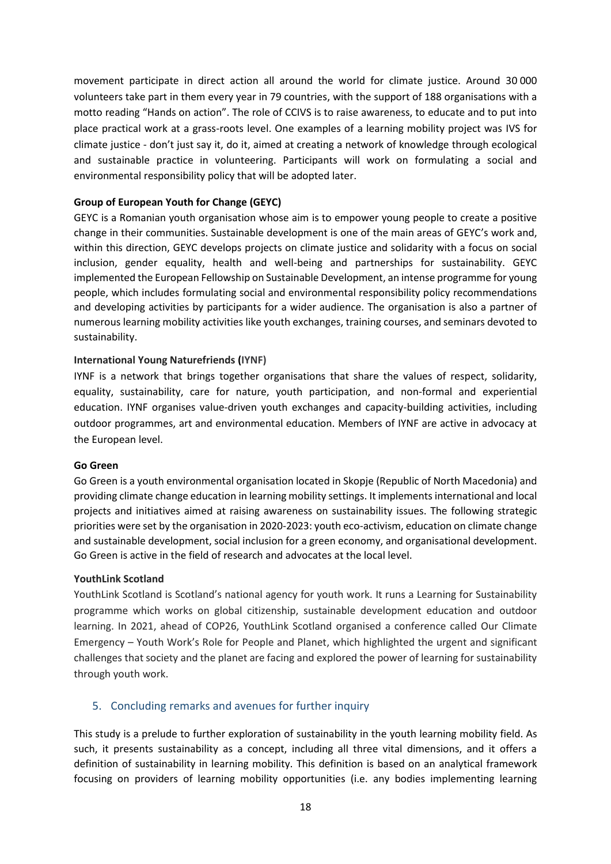movement participate in direct action all around the world for climate justice. Around 30 000 volunteers take part in them every year in 79 countries, with the support of 188 organisations with a motto reading "Hands on action". The role of CCIVS is to raise awareness, to educate and to put into place practical work at a grass-roots level. One examples of a learning mobility project was IVS for climate justice - don't just say it, do it, aimed at creating a network of knowledge through ecological and sustainable practice in volunteering. Participants will work on formulating a social and environmental responsibility policy that will be adopted later.

# **Group of European Youth for Change (GEYC)**

GEYC is a Romanian youth organisation whose aim is to empower young people to create a positive change in their communities. Sustainable development is one of the main areas of GEYC's work and, within this direction, GEYC develops projects on climate justice and solidarity with a focus on social inclusion, gender equality, health and well-being and partnerships for sustainability. GEYC implemented the European Fellowship on Sustainable Development, an intense programme for young people, which includes formulating social and environmental responsibility policy recommendations and developing activities by participants for a wider audience. The organisation is also a partner of numerous learning mobility activities like youth exchanges, training courses, and seminars devoted to sustainability.

# **International Young Naturefriends (IYNF)**

IYNF is a network that brings together organisations that share the values of respect, solidarity, equality, sustainability, care for nature, youth participation, and non-formal and experiential education. IYNF organises value-driven youth exchanges and capacity-building activities, including outdoor programmes, art and environmental education. Members of IYNF are active in advocacy at the European level.

# **Go Green**

Go Green is a youth environmental organisation located in Skopje (Republic of North Macedonia) and providing climate change education in learning mobility settings. It implements international and local projects and initiatives aimed at raising awareness on sustainability issues. The following strategic priorities were set by the organisation in 2020-2023: youth eco-activism, education on climate change and sustainable development, social inclusion for a green economy, and organisational development. Go Green is active in the field of research and advocates at the local level.

# **YouthLink Scotland**

YouthLink Scotland is Scotland's national agency for youth work. It runs a Learning for Sustainability programme which works on global citizenship, sustainable development education and outdoor learning. In 2021, ahead of COP26, YouthLink Scotland organised a conference called Our Climate Emergency – Youth Work's Role for People and Planet, which highlighted the urgent and significant challenges that society and the planet are facing and explored the power of learning for sustainability through youth work.

# <span id="page-17-0"></span>5. Concluding remarks and avenues for further inquiry

This study is a prelude to further exploration of sustainability in the youth learning mobility field. As such, it presents sustainability as a concept, including all three vital dimensions, and it offers a definition of sustainability in learning mobility. This definition is based on an analytical framework focusing on providers of learning mobility opportunities (i.e. any bodies implementing learning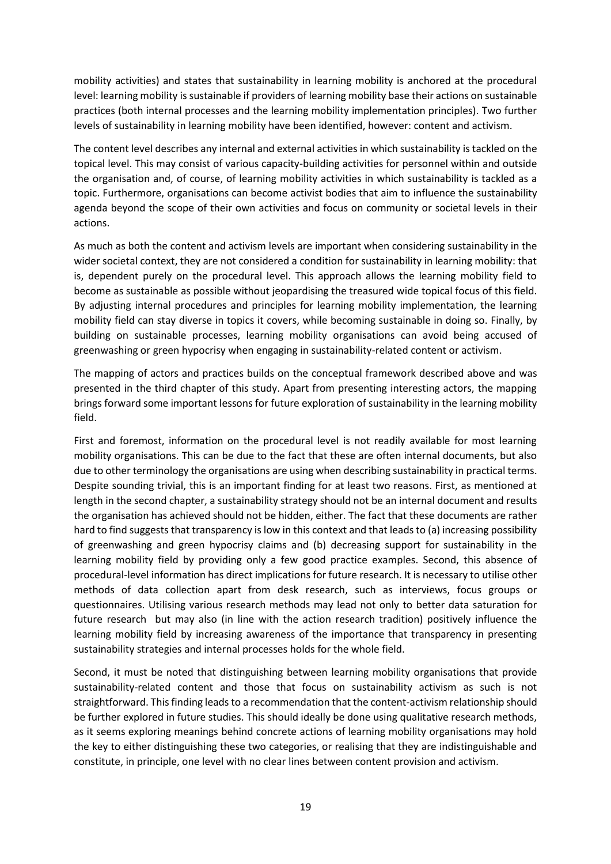mobility activities) and states that sustainability in learning mobility is anchored at the procedural level: learning mobility is sustainable if providers of learning mobility base their actions on sustainable practices (both internal processes and the learning mobility implementation principles). Two further levels of sustainability in learning mobility have been identified, however: content and activism.

The content level describes any internal and external activities in which sustainability is tackled on the topical level. This may consist of various capacity-building activities for personnel within and outside the organisation and, of course, of learning mobility activities in which sustainability is tackled as a topic. Furthermore, organisations can become activist bodies that aim to influence the sustainability agenda beyond the scope of their own activities and focus on community or societal levels in their actions.

As much as both the content and activism levels are important when considering sustainability in the wider societal context, they are not considered a condition for sustainability in learning mobility: that is, dependent purely on the procedural level. This approach allows the learning mobility field to become as sustainable as possible without jeopardising the treasured wide topical focus of this field. By adjusting internal procedures and principles for learning mobility implementation, the learning mobility field can stay diverse in topics it covers, while becoming sustainable in doing so. Finally, by building on sustainable processes, learning mobility organisations can avoid being accused of greenwashing or green hypocrisy when engaging in sustainability-related content or activism.

The mapping of actors and practices builds on the conceptual framework described above and was presented in the third chapter of this study. Apart from presenting interesting actors, the mapping brings forward some important lessons for future exploration of sustainability in the learning mobility field.

First and foremost, information on the procedural level is not readily available for most learning mobility organisations. This can be due to the fact that these are often internal documents, but also due to other terminology the organisations are using when describing sustainability in practical terms. Despite sounding trivial, this is an important finding for at least two reasons. First, as mentioned at length in the second chapter, a sustainability strategy should not be an internal document and results the organisation has achieved should not be hidden, either. The fact that these documents are rather hard to find suggests that transparency is low in this context and that leads to (a) increasing possibility of greenwashing and green hypocrisy claims and (b) decreasing support for sustainability in the learning mobility field by providing only a few good practice examples. Second, this absence of procedural-level information has direct implications for future research. It is necessary to utilise other methods of data collection apart from desk research, such as interviews, focus groups or questionnaires. Utilising various research methods may lead not only to better data saturation for future research but may also (in line with the action research tradition) positively influence the learning mobility field by increasing awareness of the importance that transparency in presenting sustainability strategies and internal processes holds for the whole field.

Second, it must be noted that distinguishing between learning mobility organisations that provide sustainability-related content and those that focus on sustainability activism as such is not straightforward. This finding leads to a recommendation that the content-activism relationship should be further explored in future studies. This should ideally be done using qualitative research methods, as it seems exploring meanings behind concrete actions of learning mobility organisations may hold the key to either distinguishing these two categories, or realising that they are indistinguishable and constitute, in principle, one level with no clear lines between content provision and activism.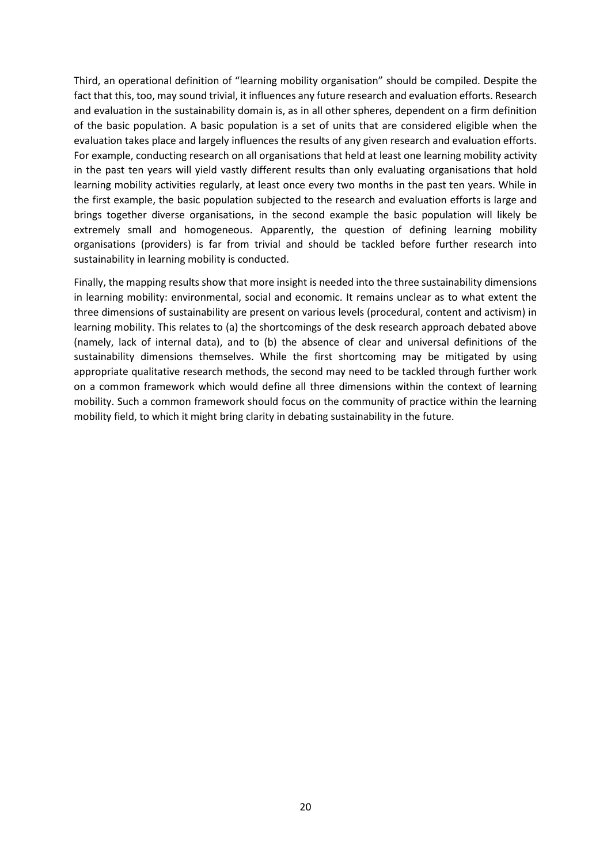Third, an operational definition of "learning mobility organisation" should be compiled. Despite the fact that this, too, may sound trivial, it influences any future research and evaluation efforts. Research and evaluation in the sustainability domain is, as in all other spheres, dependent on a firm definition of the basic population. A basic population is a set of units that are considered eligible when the evaluation takes place and largely influences the results of any given research and evaluation efforts. For example, conducting research on all organisations that held at least one learning mobility activity in the past ten years will yield vastly different results than only evaluating organisations that hold learning mobility activities regularly, at least once every two months in the past ten years. While in the first example, the basic population subjected to the research and evaluation efforts is large and brings together diverse organisations, in the second example the basic population will likely be extremely small and homogeneous. Apparently, the question of defining learning mobility organisations (providers) is far from trivial and should be tackled before further research into sustainability in learning mobility is conducted.

Finally, the mapping results show that more insight is needed into the three sustainability dimensions in learning mobility: environmental, social and economic. It remains unclear as to what extent the three dimensions of sustainability are present on various levels (procedural, content and activism) in learning mobility. This relates to (a) the shortcomings of the desk research approach debated above (namely, lack of internal data), and to (b) the absence of clear and universal definitions of the sustainability dimensions themselves. While the first shortcoming may be mitigated by using appropriate qualitative research methods, the second may need to be tackled through further work on a common framework which would define all three dimensions within the context of learning mobility. Such a common framework should focus on the community of practice within the learning mobility field, to which it might bring clarity in debating sustainability in the future.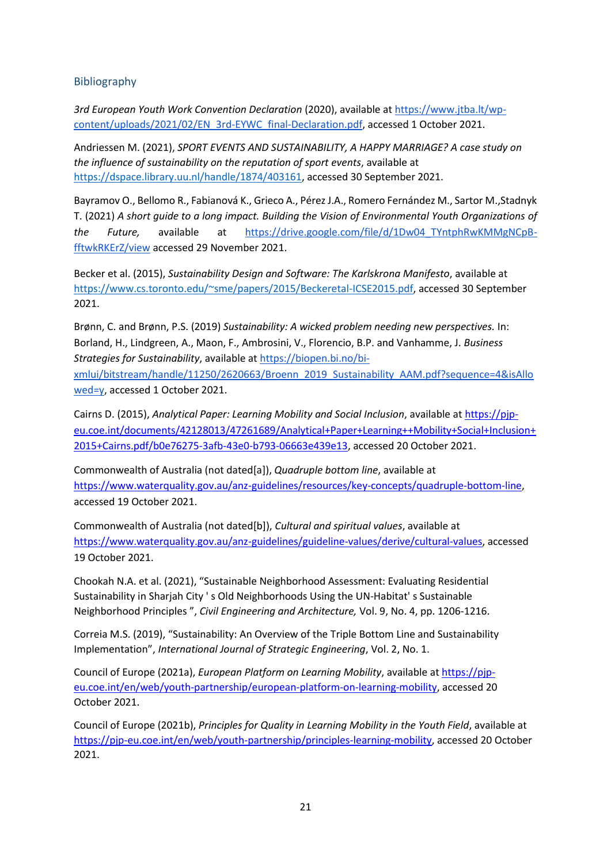# <span id="page-20-0"></span>Bibliography

*3rd European Youth Work Convention Declaration* (2020), available a[t https://www.jtba.lt/wp](https://www.jtba.lt/wp-content/uploads/2021/02/EN_3rd-EYWC_final-Declaration.pdf)[content/uploads/2021/02/EN\\_3rd-EYWC\\_final-Declaration.pdf,](https://www.jtba.lt/wp-content/uploads/2021/02/EN_3rd-EYWC_final-Declaration.pdf) accessed 1 October 2021.

Andriessen M. (2021), *SPORT EVENTS AND SUSTAINABILITY, A HAPPY MARRIAGE? A case study on the influence of sustainability on the reputation of sport events*, available at [https://dspace.library.uu.nl/handle/1874/403161,](https://dspace.library.uu.nl/handle/1874/403161) accessed 30 September 2021.

Bayramov O., Bellomo R., Fabianová K., Grieco A., Pérez J.A., Romero Fernández M., Sartor M.,Stadnyk T. (2021) *A short guide to a long impact. Building the Vision of Environmental Youth Organizations of the Future,* available at [https://drive.google.com/file/d/1Dw04\\_TYntphRwKMMgNCpB](https://drive.google.com/file/d/1Dw04_TYntphRwKMMgNCpB-fftwkRKErZ/view)[fftwkRKErZ/view](https://drive.google.com/file/d/1Dw04_TYntphRwKMMgNCpB-fftwkRKErZ/view) accessed 29 November 2021.

Becker et al. (2015), *Sustainability Design and Software: The Karlskrona Manifesto*, available at [https://www.cs.toronto.edu/~sme/papers/2015/Beckeretal-ICSE2015.pdf,](https://www.cs.toronto.edu/~sme/papers/2015/Beckeretal-ICSE2015.pdf) accessed 30 September 2021.

Brønn, C. and Brønn, P.S. (2019) *Sustainability: A wicked problem needing new perspectives.* In: Borland, H., Lindgreen, A., Maon, F., Ambrosini, V., Florencio, B.P. and Vanhamme, J. *Business Strategies for Sustainability*, available at [https://biopen.bi.no/bi](https://biopen.bi.no/bi-xmlui/bitstream/handle/11250/2620663/Broenn_2019_Sustainability_AAM.pdf?sequence=4&isAllowed=y)[xmlui/bitstream/handle/11250/2620663/Broenn\\_2019\\_Sustainability\\_AAM.pdf?sequence=4&isAllo](https://biopen.bi.no/bi-xmlui/bitstream/handle/11250/2620663/Broenn_2019_Sustainability_AAM.pdf?sequence=4&isAllowed=y) [wed=y,](https://biopen.bi.no/bi-xmlui/bitstream/handle/11250/2620663/Broenn_2019_Sustainability_AAM.pdf?sequence=4&isAllowed=y) accessed 1 October 2021.

Cairns D. (2015), *Analytical Paper: Learning Mobility and Social Inclusion*, available at [https://pjp](https://pjp-eu.coe.int/documents/42128013/47261689/Analytical+Paper+Learning++Mobility+Social+Inclusion+2015+Cairns.pdf/b0e76275-3afb-43e0-b793-06663e439e13)[eu.coe.int/documents/42128013/47261689/Analytical+Paper+Learning++Mobility+Social+Inclusion+](https://pjp-eu.coe.int/documents/42128013/47261689/Analytical+Paper+Learning++Mobility+Social+Inclusion+2015+Cairns.pdf/b0e76275-3afb-43e0-b793-06663e439e13) [2015+Cairns.pdf/b0e76275-3afb-43e0-b793-06663e439e13,](https://pjp-eu.coe.int/documents/42128013/47261689/Analytical+Paper+Learning++Mobility+Social+Inclusion+2015+Cairns.pdf/b0e76275-3afb-43e0-b793-06663e439e13) accessed 20 October 2021.

Commonwealth of Australia (not dated[a]), *Quadruple bottom line*, available at [https://www.waterquality.gov.au/anz-guidelines/resources/key-concepts/quadruple-bottom-line,](https://www.waterquality.gov.au/anz-guidelines/resources/key-concepts/quadruple-bottom-line) accessed 19 October 2021.

Commonwealth of Australia (not dated[b]), *Cultural and spiritual values*, available at [https://www.waterquality.gov.au/anz-guidelines/guideline-values/derive/cultural-values,](https://www.waterquality.gov.au/anz-guidelines/guideline-values/derive/cultural-values) accessed 19 October 2021.

Chookah N.A. et al. (2021), "Sustainable Neighborhood Assessment: Evaluating Residential Sustainability in Sharjah City ' s Old Neighborhoods Using the UN-Habitat' s Sustainable Neighborhood Principles ", *Civil Engineering and Architecture,* Vol. 9, No. 4, pp. 1206-1216.

Correia M.S. (2019), "Sustainability: An Overview of the Triple Bottom Line and Sustainability Implementation", *International Journal of Strategic Engineering*, Vol. 2, No. 1.

Council of Europe (2021a), *European Platform on Learning Mobility*, available a[t https://pjp](https://pjp-eu.coe.int/en/web/youth-partnership/european-platform-on-learning-mobility)[eu.coe.int/en/web/youth-partnership/european-platform-on-learning-mobility,](https://pjp-eu.coe.int/en/web/youth-partnership/european-platform-on-learning-mobility) accessed 20 October 2021.

Council of Europe (2021b), *Principles for Quality in Learning Mobility in the Youth Field*, available at [https://pjp-eu.coe.int/en/web/youth-partnership/principles-learning-mobility,](https://pjp-eu.coe.int/en/web/youth-partnership/principles-learning-mobility) accessed 20 October 2021.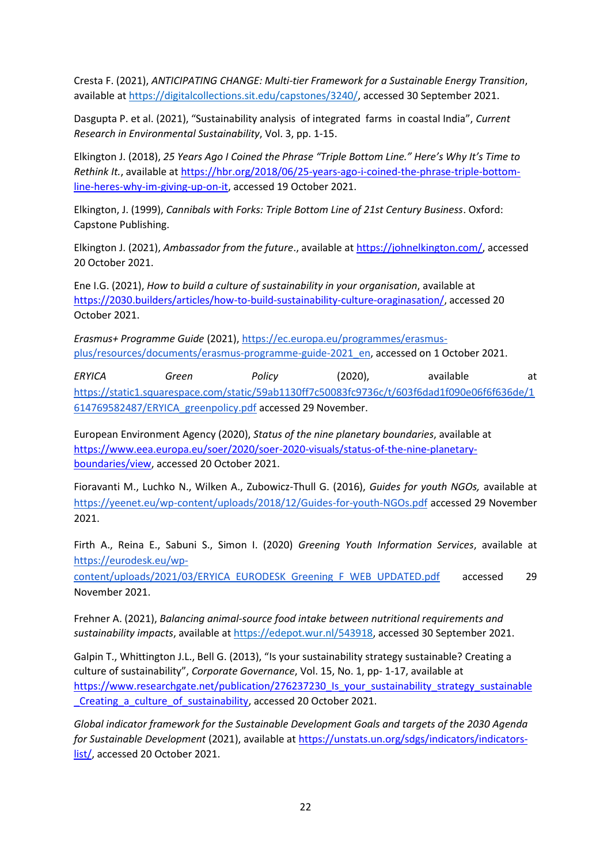Cresta F. (2021), *ANTICIPATING CHANGE: Multi-tier Framework for a Sustainable Energy Transition*, available a[t https://digitalcollections.sit.edu/capstones/3240/,](https://digitalcollections.sit.edu/capstones/3240/) accessed 30 September 2021.

Dasgupta P. et al. (2021), "Sustainability analysis of integrated farms in coastal India", *Current Research in Environmental Sustainability*, Vol. 3, pp. 1-15.

Elkington J. (2018), *25 Years Ago I Coined the Phrase "Triple Bottom Line." Here's Why It's Time to Rethink It.*, available at [https://hbr.org/2018/06/25-years-ago-i-coined-the-phrase-triple-bottom](https://hbr.org/2018/06/25-years-ago-i-coined-the-phrase-triple-bottom-line-heres-why-im-giving-up-on-it)[line-heres-why-im-giving-up-on-it,](https://hbr.org/2018/06/25-years-ago-i-coined-the-phrase-triple-bottom-line-heres-why-im-giving-up-on-it) accessed 19 October 2021.

Elkington, J. (1999), *Cannibals with Forks: Triple Bottom Line of 21st Century Business*. Oxford: Capstone Publishing.

Elkington J. (2021), *Ambassador from the future*., available at [https://johnelkington.com/,](https://johnelkington.com/) accessed 20 October 2021.

Ene I.G. (2021), *How to build a culture of sustainability in your organisation*, available at [https://2030.builders/articles/how-to-build-sustainability-culture-oraginasation/,](https://2030.builders/articles/how-to-build-sustainability-culture-oraginasation/) accessed 20 October 2021.

*Erasmus+ Programme Guide* (2021)[, https://ec.europa.eu/programmes/erasmus](https://ec.europa.eu/programmes/erasmus-plus/resources/documents/erasmus-programme-guide-2021_en)[plus/resources/documents/erasmus-programme-guide-2021\\_en,](https://ec.europa.eu/programmes/erasmus-plus/resources/documents/erasmus-programme-guide-2021_en) accessed on 1 October 2021.

*ERYICA Green Policy* (2020), available at [https://static1.squarespace.com/static/59ab1130ff7c50083fc9736c/t/603f6dad1f090e06f6f636de/1](https://static1.squarespace.com/static/59ab1130ff7c50083fc9736c/t/603f6dad1f090e06f6f636de/1614769582487/ERYICA_greenpolicy.pdf) [614769582487/ERYICA\\_greenpolicy.pdf](https://static1.squarespace.com/static/59ab1130ff7c50083fc9736c/t/603f6dad1f090e06f6f636de/1614769582487/ERYICA_greenpolicy.pdf) accessed 29 November.

European Environment Agency (2020), *Status of the nine planetary boundaries*, available at [https://www.eea.europa.eu/soer/2020/soer-2020-visuals/status-of-the-nine-planetary](https://www.eea.europa.eu/soer/2020/soer-2020-visuals/status-of-the-nine-planetary-boundaries/view)[boundaries/view,](https://www.eea.europa.eu/soer/2020/soer-2020-visuals/status-of-the-nine-planetary-boundaries/view) accessed 20 October 2021.

Fioravanti M., Luchko N., Wilken A., Zubowicz-Thull G. (2016), *Guides for youth NGOs,* available at <https://yeenet.eu/wp-content/uploads/2018/12/Guides-for-youth-NGOs.pdf> accessed 29 November 2021.

Firth A., Reina E., Sabuni S., Simon I. (2020) *Greening Youth Information Services*, available at [https://eurodesk.eu/wp-](https://eurodesk.eu/wp-content/uploads/2021/03/ERYICA_EURODESK_Greening_F_WEB_UPDATED.pdf)

[content/uploads/2021/03/ERYICA\\_EURODESK\\_Greening\\_F\\_WEB\\_UPDATED.pdf](https://eurodesk.eu/wp-content/uploads/2021/03/ERYICA_EURODESK_Greening_F_WEB_UPDATED.pdf) accessed 29 November 2021.

Frehner A. (2021), *Balancing animal-source food intake between nutritional requirements and sustainability impacts*, available a[t https://edepot.wur.nl/543918,](https://edepot.wur.nl/543918) accessed 30 September 2021.

Galpin T., Whittington J.L., Bell G. (2013), "Is your sustainability strategy sustainable? Creating a culture of sustainability", *Corporate Governance*, Vol. 15, No. 1, pp- 1-17, available at [https://www.researchgate.net/publication/276237230\\_Is\\_your\\_sustainability\\_strategy\\_sustainable](https://www.researchgate.net/publication/276237230_Is_your_sustainability_strategy_sustainable_Creating_a_culture_of_sustainability) Creating a culture of sustainability, accessed 20 October 2021.

*Global indicator framework for the Sustainable Development Goals and targets of the 2030 Agenda for Sustainable Development* (2021), available at [https://unstats.un.org/sdgs/indicators/indicators](https://unstats.un.org/sdgs/indicators/indicators-list/)[list/,](https://unstats.un.org/sdgs/indicators/indicators-list/) accessed 20 October 2021.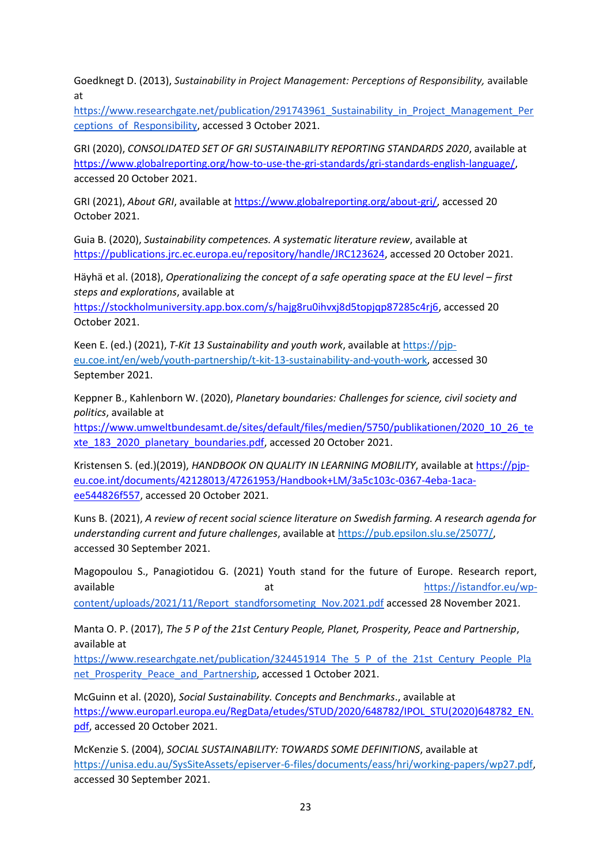Goedknegt D. (2013), *Sustainability in Project Management: Perceptions of Responsibility,* available at

[https://www.researchgate.net/publication/291743961\\_Sustainability\\_in\\_Project\\_Management\\_Per](https://www.researchgate.net/publication/291743961_Sustainability_in_Project_Management_Perceptions_of_Responsibility) [ceptions\\_of\\_Responsibility,](https://www.researchgate.net/publication/291743961_Sustainability_in_Project_Management_Perceptions_of_Responsibility) accessed 3 October 2021.

GRI (2020), *CONSOLIDATED SET OF GRI SUSTAINABILITY REPORTING STANDARDS 2020*, available at [https://www.globalreporting.org/how-to-use-the-gri-standards/gri-standards-english-language/,](https://www.globalreporting.org/how-to-use-the-gri-standards/gri-standards-english-language/) accessed 20 October 2021.

GRI (2021), *About GRI*, available at [https://www.globalreporting.org/about-gri/,](https://www.globalreporting.org/about-gri/) accessed 20 October 2021.

Guia B. (2020), *Sustainability competences. A systematic literature review*, available at [https://publications.jrc.ec.europa.eu/repository/handle/JRC123624,](https://publications.jrc.ec.europa.eu/repository/handle/JRC123624) accessed 20 October 2021.

Häyhä et al. (2018), *Operationalizing the concept of a safe operating space at the EU level – first steps and explorations*, available at

[https://stockholmuniversity.app.box.com/s/hajg8ru0ihvxj8d5topjqp87285c4rj6,](https://stockholmuniversity.app.box.com/s/hajg8ru0ihvxj8d5topjqp87285c4rj6) accessed 20 October 2021.

Keen E. (ed.) (2021), *T-Kit 13 Sustainability and youth work*, available a[t https://pjp](https://pjp-eu.coe.int/en/web/youth-partnership/t-kit-13-sustainability-and-youth-work)[eu.coe.int/en/web/youth-partnership/t-kit-13-sustainability-and-youth-work,](https://pjp-eu.coe.int/en/web/youth-partnership/t-kit-13-sustainability-and-youth-work) accessed 30 September 2021.

Keppner B., Kahlenborn W. (2020), *Planetary boundaries: Challenges for science, civil society and politics*, available at

[https://www.umweltbundesamt.de/sites/default/files/medien/5750/publikationen/2020\\_10\\_26\\_te](https://www.umweltbundesamt.de/sites/default/files/medien/5750/publikationen/2020_10_26_texte_183_2020_planetary_boundaries.pdf) [xte\\_183\\_2020\\_planetary\\_boundaries.pdf,](https://www.umweltbundesamt.de/sites/default/files/medien/5750/publikationen/2020_10_26_texte_183_2020_planetary_boundaries.pdf) accessed 20 October 2021.

Kristensen S. (ed.)(2019), *HANDBOOK ON QUALITY IN LEARNING MOBILITY*, available a[t https://pjp](https://pjp-eu.coe.int/documents/42128013/47261953/Handbook+LM/3a5c103c-0367-4eba-1aca-ee544826f557)[eu.coe.int/documents/42128013/47261953/Handbook+LM/3a5c103c-0367-4eba-1aca](https://pjp-eu.coe.int/documents/42128013/47261953/Handbook+LM/3a5c103c-0367-4eba-1aca-ee544826f557)[ee544826f557,](https://pjp-eu.coe.int/documents/42128013/47261953/Handbook+LM/3a5c103c-0367-4eba-1aca-ee544826f557) accessed 20 October 2021.

Kuns B. (2021), *A review of recent social science literature on Swedish farming. A research agenda for understanding current and future challenges*, available at [https://pub.epsilon.slu.se/25077/,](https://pub.epsilon.slu.se/25077/) accessed 30 September 2021.

Magopoulou S., Panagiotidou G. (2021) Youth stand for the future of Europe. Research report, available at [https://istandfor.eu/wp](https://istandfor.eu/wp-content/uploads/2021/11/Report_standforsometing_Nov.2021.pdf)[content/uploads/2021/11/Report\\_standforsometing\\_Nov.2021.pdf](https://istandfor.eu/wp-content/uploads/2021/11/Report_standforsometing_Nov.2021.pdf) accessed 28 November 2021.

Manta O. P. (2017), *The 5 P of the 21st Century People, Planet, Prosperity, Peace and Partnership*, available at

[https://www.researchgate.net/publication/324451914\\_The\\_5\\_P\\_of\\_the\\_21st\\_Century\\_People\\_Pla](https://www.researchgate.net/publication/324451914_The_5_P_of_the_21st_Century_People_Planet_Prosperity_Peace_and_Partnership) net Prosperity Peace and Partnership, accessed 1 October 2021.

McGuinn et al. (2020), *Social Sustainability. Concepts and Benchmarks*., available at [https://www.europarl.europa.eu/RegData/etudes/STUD/2020/648782/IPOL\\_STU\(2020\)648782\\_EN.](https://www.europarl.europa.eu/RegData/etudes/STUD/2020/648782/IPOL_STU(2020)648782_EN.pdf) [pdf,](https://www.europarl.europa.eu/RegData/etudes/STUD/2020/648782/IPOL_STU(2020)648782_EN.pdf) accessed 20 October 2021.

McKenzie S. (2004), *SOCIAL SUSTAINABILITY: TOWARDS SOME DEFINITIONS*, available at [https://unisa.edu.au/SysSiteAssets/episerver-6-files/documents/eass/hri/working-papers/wp27.pdf,](https://unisa.edu.au/SysSiteAssets/episerver-6-files/documents/eass/hri/working-papers/wp27.pdf) accessed 30 September 2021.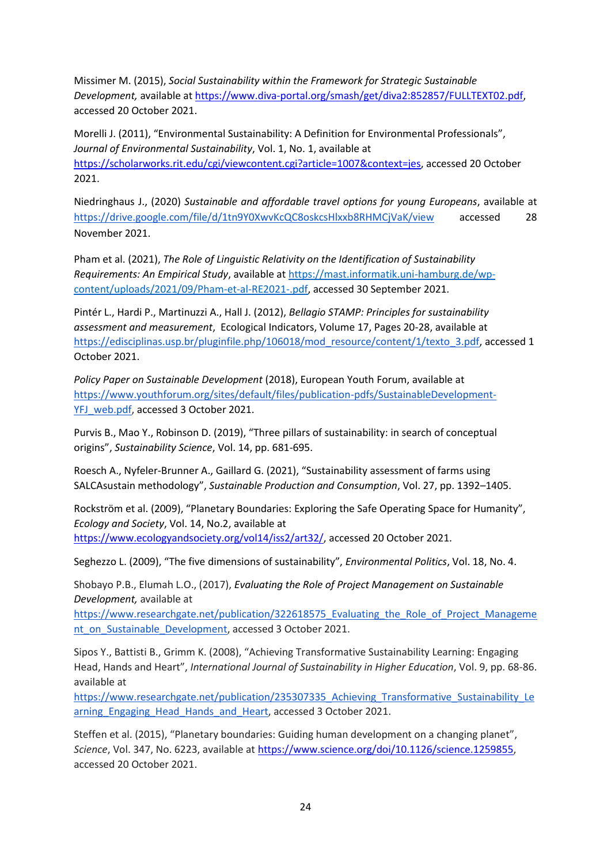Missimer M. (2015), *Social Sustainability within the Framework for Strategic Sustainable Development,* available at [https://www.diva-portal.org/smash/get/diva2:852857/FULLTEXT02.pdf,](https://www.diva-portal.org/smash/get/diva2:852857/FULLTEXT02.pdf) accessed 20 October 2021.

Morelli J. (2011), "Environmental Sustainability: A Definition for Environmental Professionals", *Journal of Environmental Sustainability*, Vol. 1, No. 1, available at [https://scholarworks.rit.edu/cgi/viewcontent.cgi?article=1007&context=jes,](https://scholarworks.rit.edu/cgi/viewcontent.cgi?article=1007&context=jes) accessed 20 October 2021.

Niedringhaus J., (2020) *Sustainable and affordable travel options for young Europeans*, available at <https://drive.google.com/file/d/1tn9Y0XwvKcQC8oskcsHlxxb8RHMCjVaK/view> accessed 28 November 2021.

Pham et al. (2021), *The Role of Linguistic Relativity on the Identification of Sustainability Requirements: An Empirical Study*, available at [https://mast.informatik.uni-hamburg.de/wp](https://mast.informatik.uni-hamburg.de/wp-content/uploads/2021/09/Pham-et-al-RE2021-.pdf)[content/uploads/2021/09/Pham-et-al-RE2021-.pdf,](https://mast.informatik.uni-hamburg.de/wp-content/uploads/2021/09/Pham-et-al-RE2021-.pdf) accessed 30 September 2021.

Pintér L., Hardi P., Martinuzzi A., Hall J. (2012), *Bellagio STAMP: Principles for sustainability assessment and measurement*, Ecological Indicators, Volume 17, Pages 20-28, available at [https://edisciplinas.usp.br/pluginfile.php/106018/mod\\_resource/content/1/texto\\_3.pdf,](https://edisciplinas.usp.br/pluginfile.php/106018/mod_resource/content/1/texto_3.pdf) accessed 1 October 2021.

*Policy Paper on Sustainable Development* (2018), European Youth Forum, available at [https://www.youthforum.org/sites/default/files/publication-pdfs/SustainableDevelopment-](https://www.youthforum.org/sites/default/files/publication-pdfs/SustainableDevelopment-YFJ_web.pdf)[YFJ\\_web.pdf,](https://www.youthforum.org/sites/default/files/publication-pdfs/SustainableDevelopment-YFJ_web.pdf) accessed 3 October 2021.

Purvis B., Mao Y., Robinson D. (2019), "Three pillars of sustainability: in search of conceptual origins", *Sustainability Science*, Vol. 14, pp. 681-695.

Roesch A., Nyfeler-Brunner A., Gaillard G. (2021), "Sustainability assessment of farms using SALCAsustain methodology", *Sustainable Production and Consumption*, Vol. 27, pp. 1392–1405.

Rockström et al. (2009), "Planetary Boundaries: Exploring the Safe Operating Space for Humanity", *Ecology and Society*, Vol. 14, No.2, available at [https://www.ecologyandsociety.org/vol14/iss2/art32/,](https://www.ecologyandsociety.org/vol14/iss2/art32/) accessed 20 October 2021.

Seghezzo L. (2009), "The five dimensions of sustainability", *Environmental Politics*, Vol. 18, No. 4.

Shobayo P.B., Elumah L.O., (2017), *Evaluating the Role of Project Management on Sustainable Development,* available at

[https://www.researchgate.net/publication/322618575\\_Evaluating\\_the\\_Role\\_of\\_Project\\_Manageme](https://www.researchgate.net/publication/322618575_Evaluating_the_Role_of_Project_Management_on_Sustainable_Development) [nt\\_on\\_Sustainable\\_Development,](https://www.researchgate.net/publication/322618575_Evaluating_the_Role_of_Project_Management_on_Sustainable_Development) accessed 3 October 2021.

Sipos Y., Battisti B., Grimm K. (2008), "Achieving Transformative Sustainability Learning: Engaging Head, Hands and Heart", *International Journal of Sustainability in Higher Education*, Vol. 9, pp. 68-86. available at

[https://www.researchgate.net/publication/235307335\\_Achieving\\_Transformative\\_Sustainability\\_Le](https://www.researchgate.net/publication/235307335_Achieving_Transformative_Sustainability_Learning_Engaging_Head_Hands_and_Heart) arning Engaging Head Hands and Heart, accessed 3 October 2021.

Steffen et al. (2015), "Planetary boundaries: Guiding human development on a changing planet", *Science*, Vol. 347, No. 6223, available at [https://www.science.org/doi/10.1126/science.1259855,](https://www.science.org/doi/10.1126/science.1259855) accessed 20 October 2021.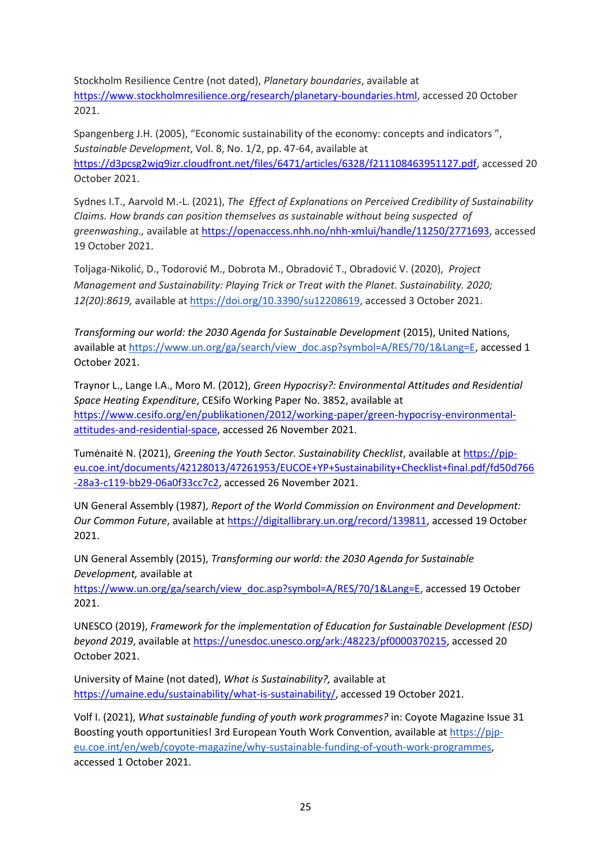Stockholm Resilience Centre (not dated), *Planetary boundaries*, available at [https://www.stockholmresilience.org/research/planetary-boundaries.html,](https://www.stockholmresilience.org/research/planetary-boundaries.html) accessed 20 October 2021.

Spangenberg J.H. (2005), "Economic sustainability of the economy: concepts and indicators ", *Sustainable Development*, Vol. 8, No. 1/2, pp. 47-64, available at [https://d3pcsg2wjq9izr.cloudfront.net/files/6471/articles/6328/f211108463951127.pdf,](https://d3pcsg2wjq9izr.cloudfront.net/files/6471/articles/6328/f211108463951127.pdf) accessed 20 October 2021.

Sydnes I.T., Aarvold M.-L. (2021), *The Effect of Explanations on Perceived Credibility of Sustainability Claims. How brands can position themselves as sustainable without being suspected of greenwashing.,* available a[t https://openaccess.nhh.no/nhh-xmlui/handle/11250/2771693,](https://openaccess.nhh.no/nhh-xmlui/handle/11250/2771693) accessed 19 October 2021.

Toljaga-Nikolić, D., Todorović M., Dobrota M., Obradović T., Obradović V. (2020), *Project Management and Sustainability: Playing Trick or Treat with the Planet. Sustainability. 2020; 12(20):8619,* available at [https://doi.org/10.3390/su12208619,](https://doi.org/10.3390/su12208619) accessed 3 October 2021.

*Transforming our world: the 2030 Agenda for Sustainable Development* (2015), United Nations, available a[t https://www.un.org/ga/search/view\\_doc.asp?symbol=A/RES/70/1&Lang=E,](https://www.un.org/ga/search/view_doc.asp?symbol=A/RES/70/1&Lang=E) accessed 1 October 2021.

Traynor L., Lange I.A., Moro M. (2012), *Green Hypocrisy?: Environmental Attitudes and Residential Space Heating Expenditure*, CESifo Working Paper No. 3852, available at [https://www.cesifo.org/en/publikationen/2012/working-paper/green-hypocrisy-environmental](https://www.cesifo.org/en/publikationen/2012/working-paper/green-hypocrisy-environmental-attitudes-and-residential-space)[attitudes-and-residential-space,](https://www.cesifo.org/en/publikationen/2012/working-paper/green-hypocrisy-environmental-attitudes-and-residential-space) accessed 26 November 2021.

Tumėnaitė N. (2021), *Greening the Youth Sector. Sustainability Checklist*, available a[t https://pjp](https://pjp-eu.coe.int/documents/42128013/47261953/EUCOE+YP+Sustainability+Checklist+final.pdf/fd50d766-28a3-c119-bb29-06a0f33cc7c2)[eu.coe.int/documents/42128013/47261953/EUCOE+YP+Sustainability+Checklist+final.pdf/fd50d766](https://pjp-eu.coe.int/documents/42128013/47261953/EUCOE+YP+Sustainability+Checklist+final.pdf/fd50d766-28a3-c119-bb29-06a0f33cc7c2) [-28a3-c119-bb29-06a0f33cc7c2,](https://pjp-eu.coe.int/documents/42128013/47261953/EUCOE+YP+Sustainability+Checklist+final.pdf/fd50d766-28a3-c119-bb29-06a0f33cc7c2) accessed 26 November 2021.

UN General Assembly (1987), *Report of the World Commission on Environment and Development: Our Common Future*, available a[t https://digitallibrary.un.org/record/139811,](https://digitallibrary.un.org/record/139811) accessed 19 October 2021.

UN General Assembly (2015), *Transforming our world: the 2030 Agenda for Sustainable Development,* available at

[https://www.un.org/ga/search/view\\_doc.asp?symbol=A/RES/70/1&Lang=E,](https://www.un.org/ga/search/view_doc.asp?symbol=A/RES/70/1&Lang=E) accessed 19 October 2021.

UNESCO (2019), *Framework for the implementation of Education for Sustainable Development (ESD) beyond 2019*, available at [https://unesdoc.unesco.org/ark:/48223/pf0000370215,](https://unesdoc.unesco.org/ark:/48223/pf0000370215) accessed 20 October 2021.

University of Maine (not dated), *What is Sustainability?,* available at [https://umaine.edu/sustainability/what-is-sustainability/,](https://umaine.edu/sustainability/what-is-sustainability/) accessed 19 October 2021.

Volf I. (2021), *What sustainable funding of youth work programmes?* in: Coyote Magazine Issue 31 Boosting youth opportunities! 3rd European Youth Work Convention, available at [https://pjp](https://pjp-eu.coe.int/en/web/coyote-magazine/why-sustainable-funding-of-youth-work-programmes)[eu.coe.int/en/web/coyote-magazine/why-sustainable-funding-of-youth-work-programmes,](https://pjp-eu.coe.int/en/web/coyote-magazine/why-sustainable-funding-of-youth-work-programmes) accessed 1 October 2021.